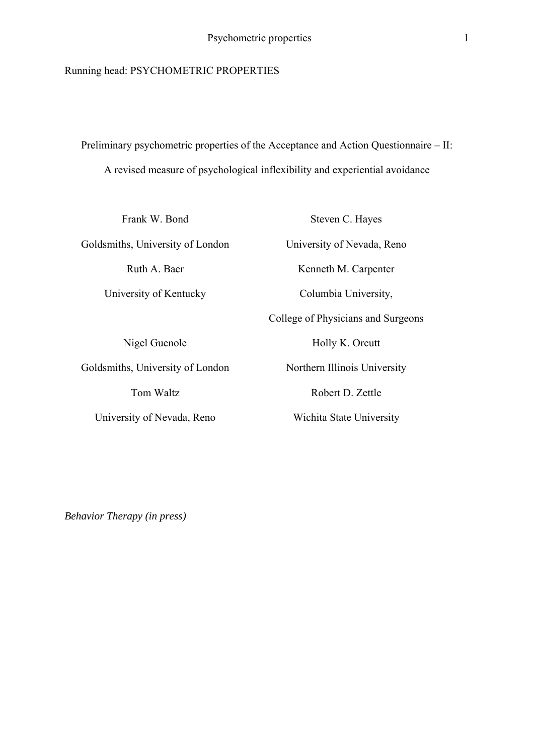## Running head: PSYCHOMETRIC PROPERTIES

Preliminary psychometric properties of the Acceptance and Action Questionnaire – II: A revised measure of psychological inflexibility and experiential avoidance

Frank W. Bond Goldsmiths, University of London Ruth A. Baer University of Kentucky

Nigel Guenole Goldsmiths, University of London Tom Waltz University of Nevada, Reno

Steven C. Hayes University of Nevada, Reno Kenneth M. Carpenter Columbia University, College of Physicians and Surgeons Holly K. Orcutt Northern Illinois University Robert D. Zettle Wichita State University

*Behavior Therapy (in press)*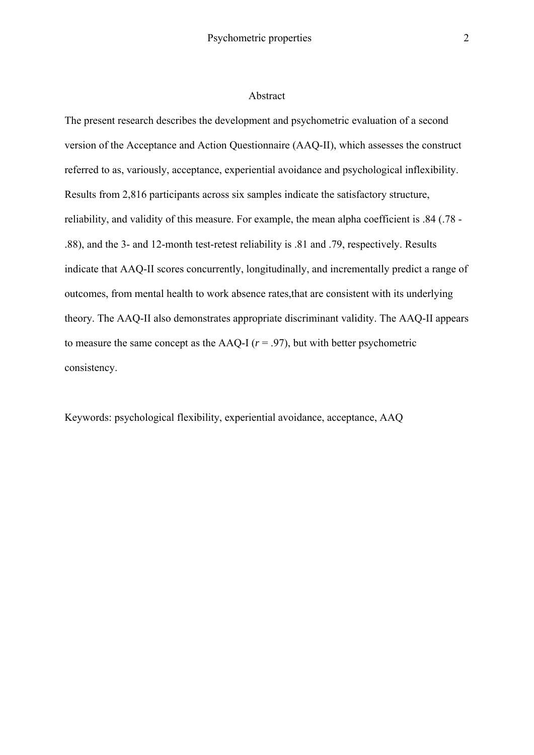#### Abstract

The present research describes the development and psychometric evaluation of a second version of the Acceptance and Action Questionnaire (AAQ-II), which assesses the construct referred to as, variously, acceptance, experiential avoidance and psychological inflexibility. Results from 2,816 participants across six samples indicate the satisfactory structure, reliability, and validity of this measure. For example, the mean alpha coefficient is .84 (.78 - .88), and the 3- and 12-month test-retest reliability is .81 and .79, respectively. Results indicate that AAQ-II scores concurrently, longitudinally, and incrementally predict a range of outcomes, from mental health to work absence rates,that are consistent with its underlying theory. The AAQ-II also demonstrates appropriate discriminant validity. The AAQ-II appears to measure the same concept as the AAQ-I  $(r = .97)$ , but with better psychometric consistency.

Keywords: psychological flexibility, experiential avoidance, acceptance, AAQ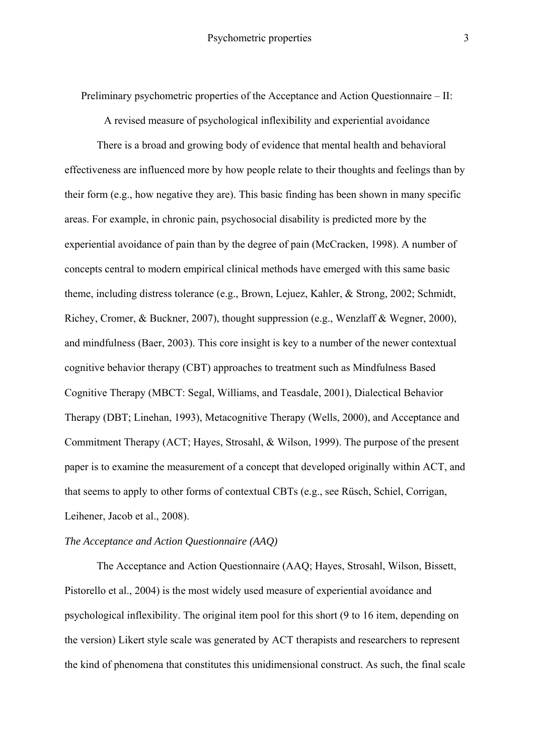Preliminary psychometric properties of the Acceptance and Action Questionnaire – II:

A revised measure of psychological inflexibility and experiential avoidance

There is a broad and growing body of evidence that mental health and behavioral effectiveness are influenced more by how people relate to their thoughts and feelings than by their form (e.g., how negative they are). This basic finding has been shown in many specific areas. For example, in chronic pain, psychosocial disability is predicted more by the experiential avoidance of pain than by the degree of pain (McCracken, 1998). A number of concepts central to modern empirical clinical methods have emerged with this same basic theme, including distress tolerance (e.g., Brown, Lejuez, Kahler, & Strong, 2002; Schmidt, Richey, Cromer, & Buckner, 2007), thought suppression (e.g., Wenzlaff & Wegner, 2000), and mindfulness (Baer, 2003). This core insight is key to a number of the newer contextual cognitive behavior therapy (CBT) approaches to treatment such as Mindfulness Based Cognitive Therapy (MBCT: Segal, Williams, and Teasdale, 2001), Dialectical Behavior Therapy (DBT; Linehan, 1993), Metacognitive Therapy (Wells, 2000), and Acceptance and Commitment Therapy (ACT; Hayes, Strosahl, & Wilson, 1999). The purpose of the present paper is to examine the measurement of a concept that developed originally within ACT, and that seems to apply to other forms of contextual CBTs (e.g., see Rüsch, Schiel, Corrigan, Leihener, Jacob et al., 2008).

#### *The Acceptance and Action Questionnaire (AAQ)*

The Acceptance and Action Questionnaire (AAQ; Hayes, Strosahl, Wilson, Bissett, Pistorello et al., 2004) is the most widely used measure of experiential avoidance and psychological inflexibility. The original item pool for this short (9 to 16 item, depending on the version) Likert style scale was generated by ACT therapists and researchers to represent the kind of phenomena that constitutes this unidimensional construct. As such, the final scale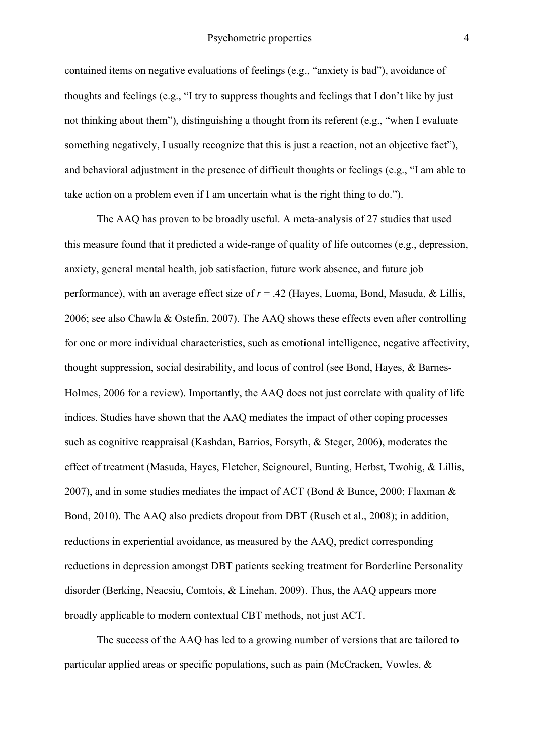contained items on negative evaluations of feelings (e.g., "anxiety is bad"), avoidance of thoughts and feelings (e.g., "I try to suppress thoughts and feelings that I don't like by just not thinking about them"), distinguishing a thought from its referent (e.g., "when I evaluate something negatively, I usually recognize that this is just a reaction, not an objective fact"), and behavioral adjustment in the presence of difficult thoughts or feelings (e.g., "I am able to take action on a problem even if I am uncertain what is the right thing to do.").

The AAQ has proven to be broadly useful. A meta-analysis of 27 studies that used this measure found that it predicted a wide-range of quality of life outcomes (e.g., depression, anxiety, general mental health, job satisfaction, future work absence, and future job performance), with an average effect size of *r* = .42 (Hayes, Luoma, Bond, Masuda, & Lillis, 2006; see also Chawla & Ostefin, 2007). The AAQ shows these effects even after controlling for one or more individual characteristics, such as emotional intelligence, negative affectivity, thought suppression, social desirability, and locus of control (see Bond, Hayes, & Barnes-Holmes, 2006 for a review). Importantly, the AAQ does not just correlate with quality of life indices. Studies have shown that the AAQ mediates the impact of other coping processes such as cognitive reappraisal (Kashdan, Barrios, Forsyth, & Steger, 2006), moderates the effect of treatment (Masuda, Hayes, Fletcher, Seignourel, Bunting, Herbst, Twohig, & Lillis, 2007), and in some studies mediates the impact of ACT (Bond & Bunce, 2000; Flaxman & Bond, 2010). The AAQ also predicts dropout from DBT (Rusch et al., 2008); in addition, reductions in experiential avoidance, as measured by the AAQ, predict corresponding reductions in depression amongst DBT patients seeking treatment for Borderline Personality disorder (Berking, Neacsiu, Comtois, & Linehan, 2009). Thus, the AAQ appears more broadly applicable to modern contextual CBT methods, not just ACT.

The success of the AAQ has led to a growing number of versions that are tailored to particular applied areas or specific populations, such as pain (McCracken, Vowles, &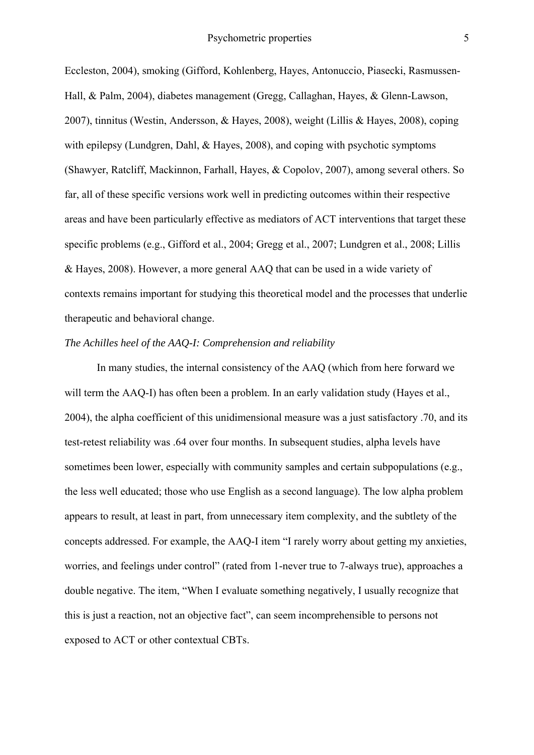Eccleston, 2004), smoking (Gifford, Kohlenberg, Hayes, Antonuccio, Piasecki, Rasmussen-Hall, & Palm, 2004), diabetes management (Gregg, Callaghan, Hayes, & Glenn-Lawson, 2007), tinnitus (Westin, Andersson, & Hayes, 2008), weight (Lillis & Hayes, 2008), coping with epilepsy (Lundgren, Dahl, & Hayes, 2008), and coping with psychotic symptoms (Shawyer, Ratcliff, Mackinnon, Farhall, Hayes, & Copolov, 2007), among several others. So far, all of these specific versions work well in predicting outcomes within their respective areas and have been particularly effective as mediators of ACT interventions that target these specific problems (e.g., Gifford et al., 2004; Gregg et al., 2007; Lundgren et al., 2008; Lillis & Hayes, 2008). However, a more general AAQ that can be used in a wide variety of contexts remains important for studying this theoretical model and the processes that underlie therapeutic and behavioral change.

# *The Achilles heel of the AAQ-I: Comprehension and reliability*

In many studies, the internal consistency of the AAQ (which from here forward we will term the AAQ-I) has often been a problem. In an early validation study (Hayes et al., 2004), the alpha coefficient of this unidimensional measure was a just satisfactory .70, and its test-retest reliability was .64 over four months. In subsequent studies, alpha levels have sometimes been lower, especially with community samples and certain subpopulations (e.g., the less well educated; those who use English as a second language). The low alpha problem appears to result, at least in part, from unnecessary item complexity, and the subtlety of the concepts addressed. For example, the AAQ-I item "I rarely worry about getting my anxieties, worries, and feelings under control" (rated from 1-never true to 7-always true), approaches a double negative. The item, "When I evaluate something negatively, I usually recognize that this is just a reaction, not an objective fact", can seem incomprehensible to persons not exposed to ACT or other contextual CBTs.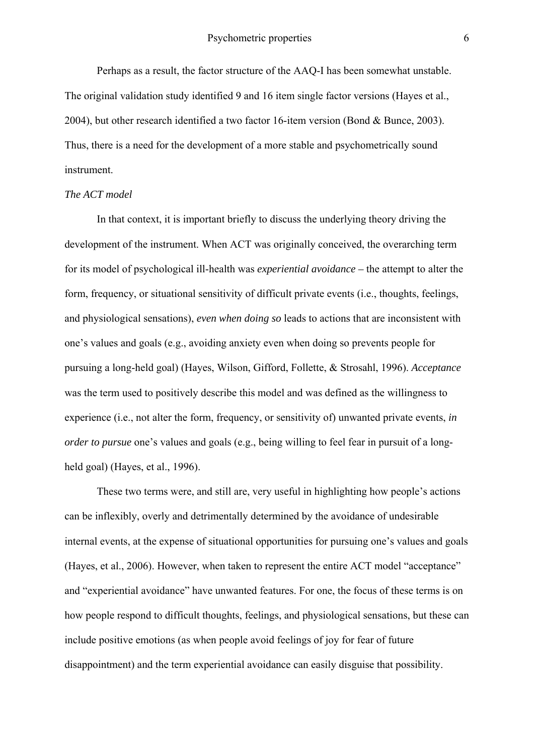Perhaps as a result, the factor structure of the AAQ-I has been somewhat unstable. The original validation study identified 9 and 16 item single factor versions (Hayes et al., 2004), but other research identified a two factor 16-item version (Bond & Bunce, 2003). Thus, there is a need for the development of a more stable and psychometrically sound instrument.

## *The ACT model*

In that context, it is important briefly to discuss the underlying theory driving the development of the instrument. When ACT was originally conceived, the overarching term for its model of psychological ill-health was *experiential avoidance –* the attempt to alter the form, frequency, or situational sensitivity of difficult private events (i.e., thoughts, feelings, and physiological sensations), *even when doing so* leads to actions that are inconsistent with one's values and goals (e.g., avoiding anxiety even when doing so prevents people for pursuing a long-held goal) (Hayes, Wilson, Gifford, Follette, & Strosahl, 1996). *Acceptance*  was the term used to positively describe this model and was defined as the willingness to experience (i.e., not alter the form, frequency, or sensitivity of) unwanted private events, *in order to pursue* one's values and goals (e.g., being willing to feel fear in pursuit of a longheld goal) (Hayes, et al., 1996).

These two terms were, and still are, very useful in highlighting how people's actions can be inflexibly, overly and detrimentally determined by the avoidance of undesirable internal events, at the expense of situational opportunities for pursuing one's values and goals (Hayes, et al., 2006). However, when taken to represent the entire ACT model "acceptance" and "experiential avoidance" have unwanted features. For one, the focus of these terms is on how people respond to difficult thoughts, feelings, and physiological sensations, but these can include positive emotions (as when people avoid feelings of joy for fear of future disappointment) and the term experiential avoidance can easily disguise that possibility.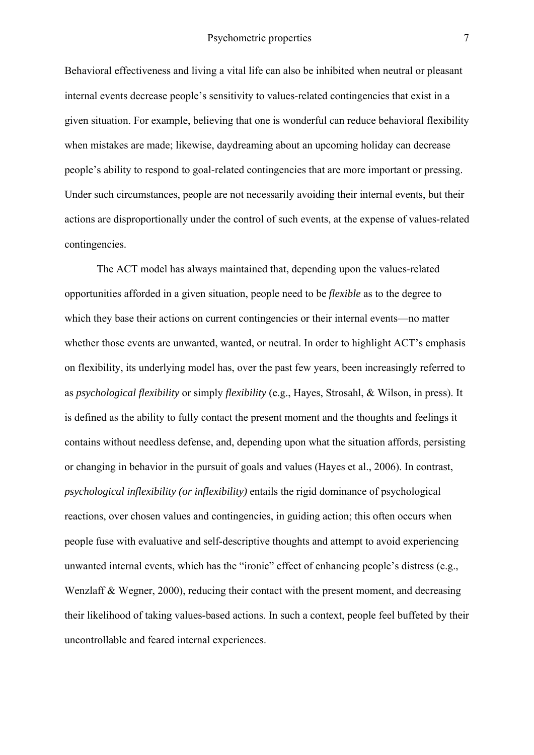Behavioral effectiveness and living a vital life can also be inhibited when neutral or pleasant internal events decrease people's sensitivity to values-related contingencies that exist in a given situation. For example, believing that one is wonderful can reduce behavioral flexibility when mistakes are made; likewise, daydreaming about an upcoming holiday can decrease people's ability to respond to goal-related contingencies that are more important or pressing. Under such circumstances, people are not necessarily avoiding their internal events, but their actions are disproportionally under the control of such events, at the expense of values-related contingencies.

The ACT model has always maintained that, depending upon the values-related opportunities afforded in a given situation, people need to be *flexible* as to the degree to which they base their actions on current contingencies or their internal events—no matter whether those events are unwanted, wanted, or neutral. In order to highlight ACT's emphasis on flexibility, its underlying model has, over the past few years, been increasingly referred to as *psychological flexibility* or simply *flexibility* (e.g., Hayes, Strosahl, & Wilson, in press). It is defined as the ability to fully contact the present moment and the thoughts and feelings it contains without needless defense, and, depending upon what the situation affords, persisting or changing in behavior in the pursuit of goals and values (Hayes et al., 2006). In contrast, *psychological inflexibility (or inflexibility)* entails the rigid dominance of psychological reactions, over chosen values and contingencies, in guiding action; this often occurs when people fuse with evaluative and self-descriptive thoughts and attempt to avoid experiencing unwanted internal events, which has the "ironic" effect of enhancing people's distress (e.g., Wenzlaff & Wegner, 2000), reducing their contact with the present moment, and decreasing their likelihood of taking values-based actions. In such a context, people feel buffeted by their uncontrollable and feared internal experiences.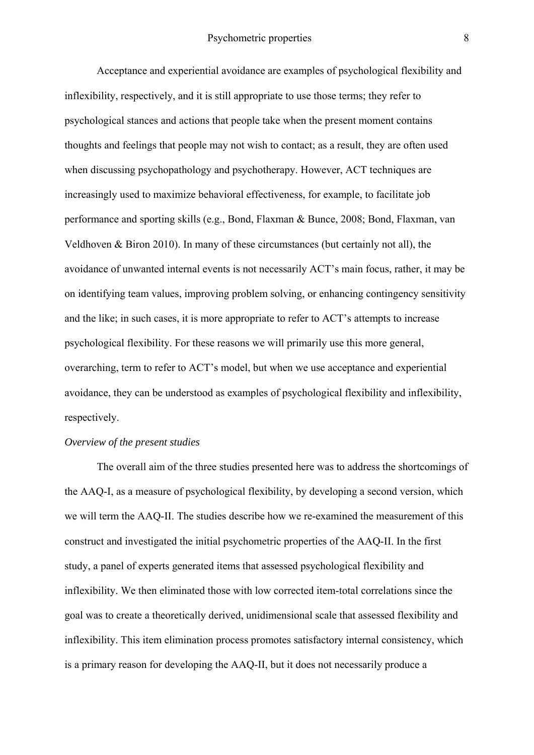Acceptance and experiential avoidance are examples of psychological flexibility and inflexibility, respectively, and it is still appropriate to use those terms; they refer to psychological stances and actions that people take when the present moment contains thoughts and feelings that people may not wish to contact; as a result, they are often used when discussing psychopathology and psychotherapy. However, ACT techniques are increasingly used to maximize behavioral effectiveness, for example, to facilitate job performance and sporting skills (e.g., Bond, Flaxman & Bunce, 2008; Bond, Flaxman, van Veldhoven & Biron 2010). In many of these circumstances (but certainly not all), the avoidance of unwanted internal events is not necessarily ACT's main focus, rather, it may be on identifying team values, improving problem solving, or enhancing contingency sensitivity and the like; in such cases, it is more appropriate to refer to ACT's attempts to increase psychological flexibility. For these reasons we will primarily use this more general, overarching, term to refer to ACT's model, but when we use acceptance and experiential avoidance, they can be understood as examples of psychological flexibility and inflexibility, respectively.

#### *Overview of the present studies*

The overall aim of the three studies presented here was to address the shortcomings of the AAQ-I, as a measure of psychological flexibility, by developing a second version, which we will term the AAQ-II. The studies describe how we re-examined the measurement of this construct and investigated the initial psychometric properties of the AAQ-II. In the first study, a panel of experts generated items that assessed psychological flexibility and inflexibility. We then eliminated those with low corrected item-total correlations since the goal was to create a theoretically derived, unidimensional scale that assessed flexibility and inflexibility. This item elimination process promotes satisfactory internal consistency, which is a primary reason for developing the AAQ-II, but it does not necessarily produce a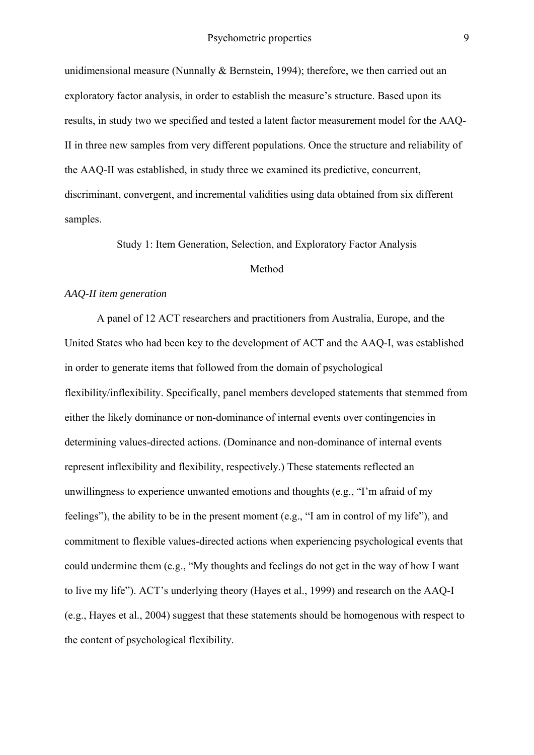unidimensional measure (Nunnally & Bernstein, 1994); therefore, we then carried out an exploratory factor analysis, in order to establish the measure's structure. Based upon its results, in study two we specified and tested a latent factor measurement model for the AAQ-II in three new samples from very different populations. Once the structure and reliability of the AAQ-II was established, in study three we examined its predictive, concurrent, discriminant, convergent, and incremental validities using data obtained from six different samples.

Study 1: Item Generation, Selection, and Exploratory Factor Analysis

#### Method

#### *AAQ-II item generation*

 A panel of 12 ACT researchers and practitioners from Australia, Europe, and the United States who had been key to the development of ACT and the AAQ-I, was established in order to generate items that followed from the domain of psychological flexibility/inflexibility. Specifically, panel members developed statements that stemmed from either the likely dominance or non-dominance of internal events over contingencies in determining values-directed actions. (Dominance and non-dominance of internal events represent inflexibility and flexibility, respectively.) These statements reflected an unwillingness to experience unwanted emotions and thoughts (e.g., "I'm afraid of my feelings"), the ability to be in the present moment (e.g., "I am in control of my life"), and commitment to flexible values-directed actions when experiencing psychological events that could undermine them (e.g., "My thoughts and feelings do not get in the way of how I want to live my life"). ACT's underlying theory (Hayes et al., 1999) and research on the AAQ-I (e.g., Hayes et al., 2004) suggest that these statements should be homogenous with respect to the content of psychological flexibility.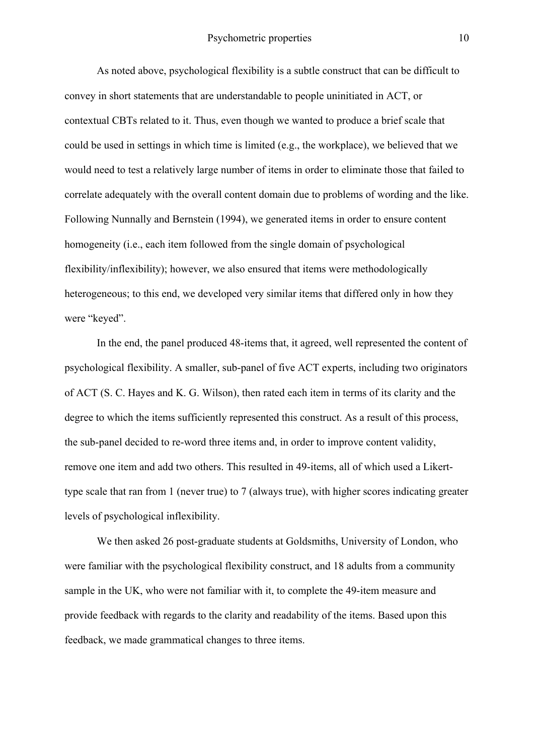As noted above, psychological flexibility is a subtle construct that can be difficult to convey in short statements that are understandable to people uninitiated in ACT, or contextual CBTs related to it. Thus, even though we wanted to produce a brief scale that could be used in settings in which time is limited (e.g., the workplace), we believed that we would need to test a relatively large number of items in order to eliminate those that failed to correlate adequately with the overall content domain due to problems of wording and the like. Following Nunnally and Bernstein (1994), we generated items in order to ensure content homogeneity (i.e., each item followed from the single domain of psychological flexibility/inflexibility); however, we also ensured that items were methodologically heterogeneous; to this end, we developed very similar items that differed only in how they were "keyed".

In the end, the panel produced 48-items that, it agreed, well represented the content of psychological flexibility. A smaller, sub-panel of five ACT experts, including two originators of ACT (S. C. Hayes and K. G. Wilson), then rated each item in terms of its clarity and the degree to which the items sufficiently represented this construct. As a result of this process, the sub-panel decided to re-word three items and, in order to improve content validity, remove one item and add two others. This resulted in 49-items, all of which used a Likerttype scale that ran from 1 (never true) to 7 (always true), with higher scores indicating greater levels of psychological inflexibility.

We then asked 26 post-graduate students at Goldsmiths, University of London, who were familiar with the psychological flexibility construct, and 18 adults from a community sample in the UK, who were not familiar with it, to complete the 49-item measure and provide feedback with regards to the clarity and readability of the items. Based upon this feedback, we made grammatical changes to three items.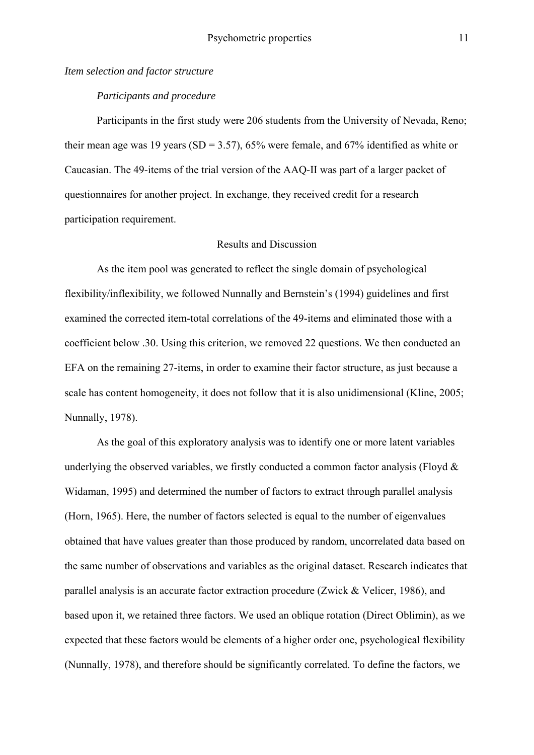#### *Item selection and factor structure*

## *Participants and procedure*

Participants in the first study were 206 students from the University of Nevada, Reno; their mean age was 19 years (SD = 3.57), 65% were female, and 67% identified as white or Caucasian. The 49-items of the trial version of the AAQ-II was part of a larger packet of questionnaires for another project. In exchange, they received credit for a research participation requirement.

#### Results and Discussion

 As the item pool was generated to reflect the single domain of psychological flexibility/inflexibility, we followed Nunnally and Bernstein's (1994) guidelines and first examined the corrected item-total correlations of the 49-items and eliminated those with a coefficient below .30. Using this criterion, we removed 22 questions. We then conducted an EFA on the remaining 27-items, in order to examine their factor structure, as just because a scale has content homogeneity, it does not follow that it is also unidimensional (Kline, 2005; Nunnally, 1978).

 As the goal of this exploratory analysis was to identify one or more latent variables underlying the observed variables, we firstly conducted a common factor analysis (Floyd  $\&$ Widaman, 1995) and determined the number of factors to extract through parallel analysis (Horn, 1965). Here, the number of factors selected is equal to the number of eigenvalues obtained that have values greater than those produced by random, uncorrelated data based on the same number of observations and variables as the original dataset. Research indicates that parallel analysis is an accurate factor extraction procedure (Zwick & Velicer, 1986), and based upon it, we retained three factors. We used an oblique rotation (Direct Oblimin), as we expected that these factors would be elements of a higher order one, psychological flexibility (Nunnally, 1978), and therefore should be significantly correlated. To define the factors, we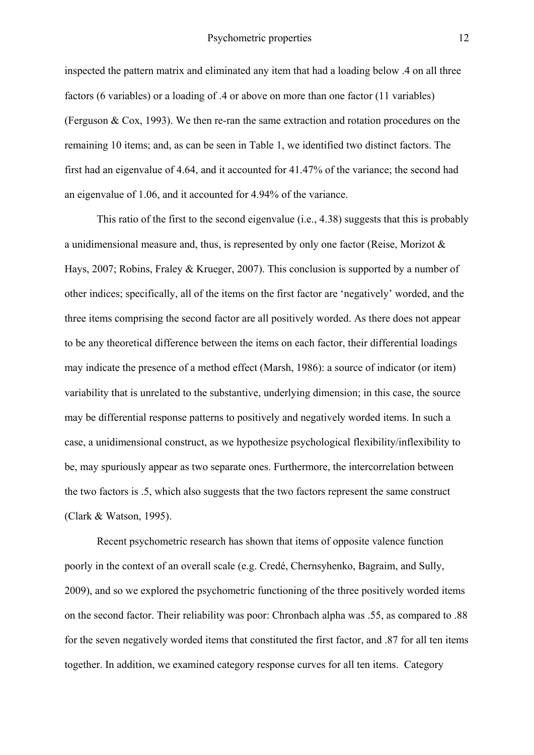inspected the pattern matrix and eliminated any item that had a loading below .4 on all three factors (6 variables) or a loading of .4 or above on more than one factor (11 variables) (Ferguson & Cox, 1993). We then re-ran the same extraction and rotation procedures on the remaining 10 items; and, as can be seen in Table 1, we identified two distinct factors. The first had an eigenvalue of 4.64, and it accounted for 41.47% of the variance; the second had an eigenvalue of 1.06, and it accounted for 4.94% of the variance.

 This ratio of the first to the second eigenvalue (i.e., 4.38) suggests that this is probably a unidimensional measure and, thus, is represented by only one factor (Reise, Morizot & Hays, 2007; Robins, Fraley & Krueger, 2007). This conclusion is supported by a number of other indices; specifically, all of the items on the first factor are 'negatively' worded, and the three items comprising the second factor are all positively worded. As there does not appear to be any theoretical difference between the items on each factor, their differential loadings may indicate the presence of a method effect (Marsh, 1986): a source of indicator (or item) variability that is unrelated to the substantive, underlying dimension; in this case, the source may be differential response patterns to positively and negatively worded items. In such a case, a unidimensional construct, as we hypothesize psychological flexibility/inflexibility to be, may spuriously appear as two separate ones. Furthermore, the intercorrelation between the two factors is .5, which also suggests that the two factors represent the same construct (Clark & Watson, 1995).

 Recent psychometric research has shown that items of opposite valence function poorly in the context of an overall scale (e.g. Credé, Chernsyhenko, Bagraim, and Sully, 2009), and so we explored the psychometric functioning of the three positively worded items on the second factor. Their reliability was poor: Chronbach alpha was .55, as compared to .88 for the seven negatively worded items that constituted the first factor, and .87 for all ten items together. In addition, we examined category response curves for all ten items. Category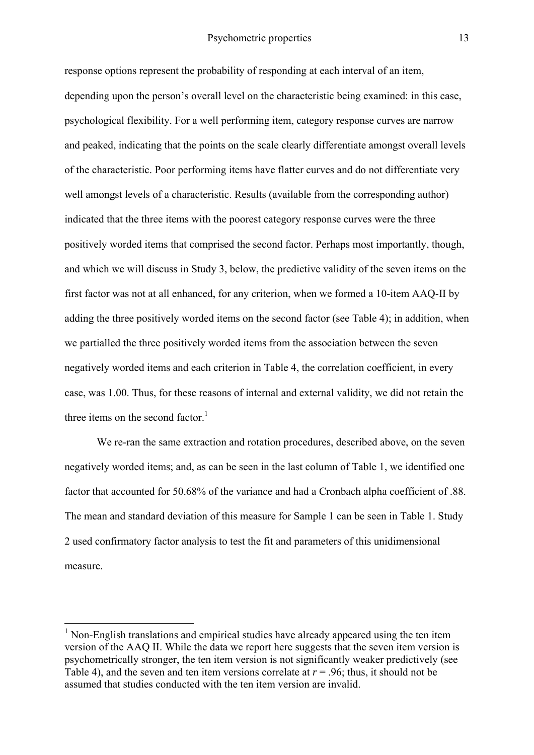response options represent the probability of responding at each interval of an item, depending upon the person's overall level on the characteristic being examined: in this case, psychological flexibility. For a well performing item, category response curves are narrow and peaked, indicating that the points on the scale clearly differentiate amongst overall levels of the characteristic. Poor performing items have flatter curves and do not differentiate very well amongst levels of a characteristic. Results (available from the corresponding author) indicated that the three items with the poorest category response curves were the three positively worded items that comprised the second factor. Perhaps most importantly, though, and which we will discuss in Study 3, below, the predictive validity of the seven items on the first factor was not at all enhanced, for any criterion, when we formed a 10-item AAQ-II by adding the three positively worded items on the second factor (see Table 4); in addition, when we partialled the three positively worded items from the association between the seven negatively worded items and each criterion in Table 4, the correlation coefficient, in every case, was 1.00. Thus, for these reasons of internal and external validity, we did not retain the three items on the second factor.<sup>1</sup>

 We re-ran the same extraction and rotation procedures, described above, on the seven negatively worded items; and, as can be seen in the last column of Table 1, we identified one factor that accounted for 50.68% of the variance and had a Cronbach alpha coefficient of .88. The mean and standard deviation of this measure for Sample 1 can be seen in Table 1. Study 2 used confirmatory factor analysis to test the fit and parameters of this unidimensional measure.

1

<sup>1</sup> Non-English translations and empirical studies have already appeared using the ten item version of the AAQ II. While the data we report here suggests that the seven item version is psychometrically stronger, the ten item version is not significantly weaker predictively (see Table 4), and the seven and ten item versions correlate at  $r = .96$ ; thus, it should not be assumed that studies conducted with the ten item version are invalid.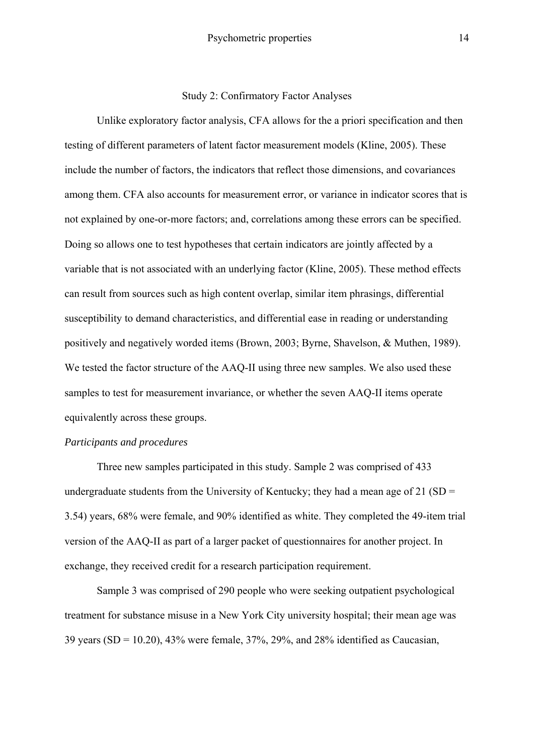Study 2: Confirmatory Factor Analyses

Unlike exploratory factor analysis, CFA allows for the a priori specification and then testing of different parameters of latent factor measurement models (Kline, 2005). These include the number of factors, the indicators that reflect those dimensions, and covariances among them. CFA also accounts for measurement error, or variance in indicator scores that is not explained by one-or-more factors; and, correlations among these errors can be specified. Doing so allows one to test hypotheses that certain indicators are jointly affected by a variable that is not associated with an underlying factor (Kline, 2005). These method effects can result from sources such as high content overlap, similar item phrasings, differential susceptibility to demand characteristics, and differential ease in reading or understanding positively and negatively worded items (Brown, 2003; Byrne, Shavelson, & Muthen, 1989). We tested the factor structure of the AAQ-II using three new samples. We also used these samples to test for measurement invariance, or whether the seven AAQ-II items operate equivalently across these groups.

# *Participants and procedures*

Three new samples participated in this study. Sample 2 was comprised of 433 undergraduate students from the University of Kentucky; they had a mean age of 21 (SD  $=$ 3.54) years, 68% were female, and 90% identified as white. They completed the 49-item trial version of the AAQ-II as part of a larger packet of questionnaires for another project. In exchange, they received credit for a research participation requirement.

Sample 3 was comprised of 290 people who were seeking outpatient psychological treatment for substance misuse in a New York City university hospital; their mean age was 39 years (SD = 10.20), 43% were female, 37%, 29%, and 28% identified as Caucasian,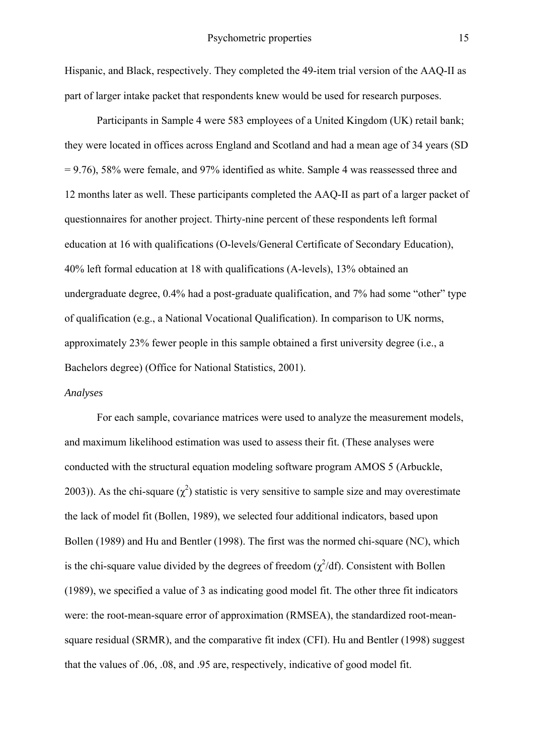Hispanic, and Black, respectively. They completed the 49-item trial version of the AAQ-II as part of larger intake packet that respondents knew would be used for research purposes.

Participants in Sample 4 were 583 employees of a United Kingdom (UK) retail bank; they were located in offices across England and Scotland and had a mean age of 34 years (SD = 9.76), 58% were female, and 97% identified as white. Sample 4 was reassessed three and 12 months later as well. These participants completed the AAQ-II as part of a larger packet of questionnaires for another project. Thirty-nine percent of these respondents left formal education at 16 with qualifications (O-levels/General Certificate of Secondary Education), 40% left formal education at 18 with qualifications (A-levels), 13% obtained an undergraduate degree, 0.4% had a post-graduate qualification, and 7% had some "other" type of qualification (e.g., a National Vocational Qualification). In comparison to UK norms, approximately 23% fewer people in this sample obtained a first university degree (i.e., a Bachelors degree) (Office for National Statistics, 2001).

#### *Analyses*

 For each sample, covariance matrices were used to analyze the measurement models, and maximum likelihood estimation was used to assess their fit. (These analyses were conducted with the structural equation modeling software program AMOS 5 (Arbuckle, 2003)). As the chi-square  $(\chi^2)$  statistic is very sensitive to sample size and may overestimate the lack of model fit (Bollen, 1989), we selected four additional indicators, based upon Bollen (1989) and Hu and Bentler (1998). The first was the normed chi-square (NC), which is the chi-square value divided by the degrees of freedom  $(\chi^2/df)$ . Consistent with Bollen (1989), we specified a value of 3 as indicating good model fit. The other three fit indicators were: the root-mean-square error of approximation (RMSEA), the standardized root-meansquare residual (SRMR), and the comparative fit index (CFI). Hu and Bentler (1998) suggest that the values of .06, .08, and .95 are, respectively, indicative of good model fit.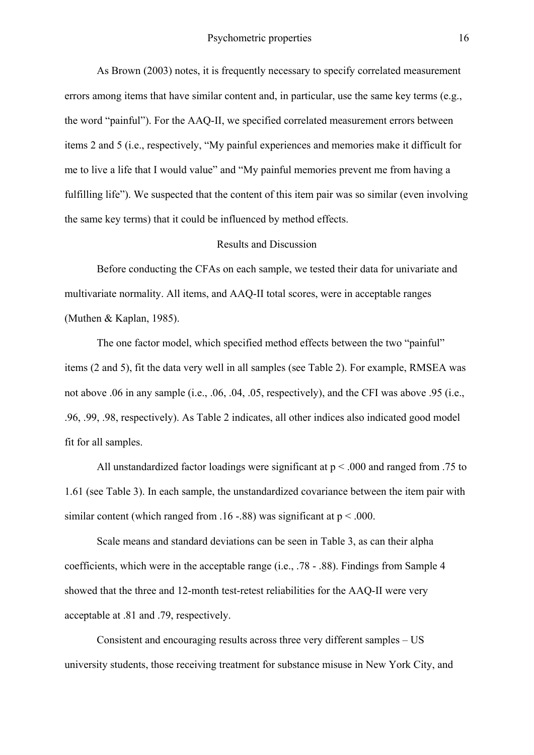As Brown (2003) notes, it is frequently necessary to specify correlated measurement errors among items that have similar content and, in particular, use the same key terms (e.g., the word "painful"). For the AAQ-II, we specified correlated measurement errors between items 2 and 5 (i.e., respectively, "My painful experiences and memories make it difficult for me to live a life that I would value" and "My painful memories prevent me from having a fulfilling life"). We suspected that the content of this item pair was so similar (even involving the same key terms) that it could be influenced by method effects.

#### Results and Discussion

Before conducting the CFAs on each sample, we tested their data for univariate and multivariate normality. All items, and AAQ-II total scores, were in acceptable ranges (Muthen & Kaplan, 1985).

The one factor model, which specified method effects between the two "painful" items (2 and 5), fit the data very well in all samples (see Table 2). For example, RMSEA was not above .06 in any sample (i.e., .06, .04, .05, respectively), and the CFI was above .95 (i.e., .96, .99, .98, respectively). As Table 2 indicates, all other indices also indicated good model fit for all samples.

All unstandardized factor loadings were significant at  $p \le 0.000$  and ranged from 0.75 to 1.61 (see Table 3). In each sample, the unstandardized covariance between the item pair with similar content (which ranged from .16 -.88) was significant at  $p < .000$ .

Scale means and standard deviations can be seen in Table 3, as can their alpha coefficients, which were in the acceptable range (i.e., .78 - .88). Findings from Sample 4 showed that the three and 12-month test-retest reliabilities for the AAQ-II were very acceptable at .81 and .79, respectively.

Consistent and encouraging results across three very different samples – US university students, those receiving treatment for substance misuse in New York City, and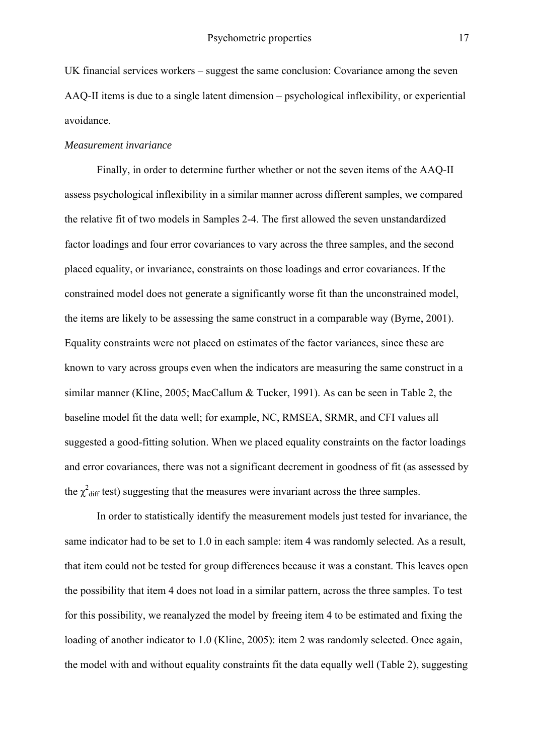UK financial services workers – suggest the same conclusion: Covariance among the seven AAQ-II items is due to a single latent dimension – psychological inflexibility, or experiential avoidance.

#### *Measurement invariance*

Finally, in order to determine further whether or not the seven items of the AAQ-II assess psychological inflexibility in a similar manner across different samples, we compared the relative fit of two models in Samples 2-4. The first allowed the seven unstandardized factor loadings and four error covariances to vary across the three samples, and the second placed equality, or invariance, constraints on those loadings and error covariances. If the constrained model does not generate a significantly worse fit than the unconstrained model, the items are likely to be assessing the same construct in a comparable way (Byrne, 2001). Equality constraints were not placed on estimates of the factor variances, since these are known to vary across groups even when the indicators are measuring the same construct in a similar manner (Kline, 2005; MacCallum & Tucker, 1991). As can be seen in Table 2, the baseline model fit the data well; for example, NC, RMSEA, SRMR, and CFI values all suggested a good-fitting solution. When we placed equality constraints on the factor loadings and error covariances, there was not a significant decrement in goodness of fit (as assessed by the  $\chi^2$ <sub>diff</sub> test) suggesting that the measures were invariant across the three samples.

In order to statistically identify the measurement models just tested for invariance, the same indicator had to be set to 1.0 in each sample: item 4 was randomly selected. As a result, that item could not be tested for group differences because it was a constant. This leaves open the possibility that item 4 does not load in a similar pattern, across the three samples. To test for this possibility, we reanalyzed the model by freeing item 4 to be estimated and fixing the loading of another indicator to 1.0 (Kline, 2005): item 2 was randomly selected. Once again, the model with and without equality constraints fit the data equally well (Table 2), suggesting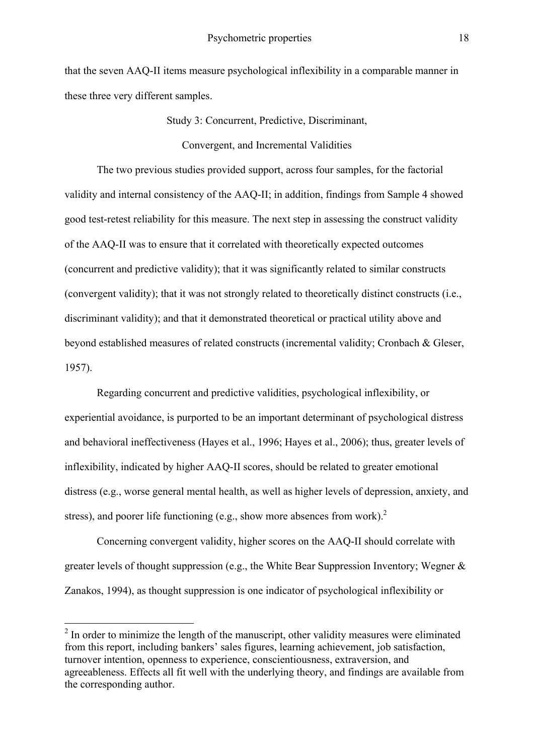that the seven AAQ-II items measure psychological inflexibility in a comparable manner in these three very different samples.

> Study 3: Concurrent, Predictive, Discriminant, Convergent, and Incremental Validities

The two previous studies provided support, across four samples, for the factorial validity and internal consistency of the AAQ-II; in addition, findings from Sample 4 showed good test-retest reliability for this measure. The next step in assessing the construct validity of the AAQ-II was to ensure that it correlated with theoretically expected outcomes (concurrent and predictive validity); that it was significantly related to similar constructs (convergent validity); that it was not strongly related to theoretically distinct constructs (i.e., discriminant validity); and that it demonstrated theoretical or practical utility above and beyond established measures of related constructs (incremental validity; Cronbach & Gleser, 1957).

Regarding concurrent and predictive validities, psychological inflexibility, or experiential avoidance, is purported to be an important determinant of psychological distress and behavioral ineffectiveness (Hayes et al., 1996; Hayes et al., 2006); thus, greater levels of inflexibility, indicated by higher AAQ-II scores, should be related to greater emotional distress (e.g., worse general mental health, as well as higher levels of depression, anxiety, and stress), and poorer life functioning (e.g., show more absences from work).<sup>2</sup>

Concerning convergent validity, higher scores on the AAQ-II should correlate with greater levels of thought suppression (e.g., the White Bear Suppression Inventory; Wegner & Zanakos, 1994), as thought suppression is one indicator of psychological inflexibility or

<sup>&</sup>lt;sup>2</sup> In order to minimize the length of the manuscript, other validity measures were eliminated from this report, including bankers' sales figures, learning achievement, job satisfaction, turnover intention, openness to experience, conscientiousness, extraversion, and agreeableness. Effects all fit well with the underlying theory, and findings are available from the corresponding author.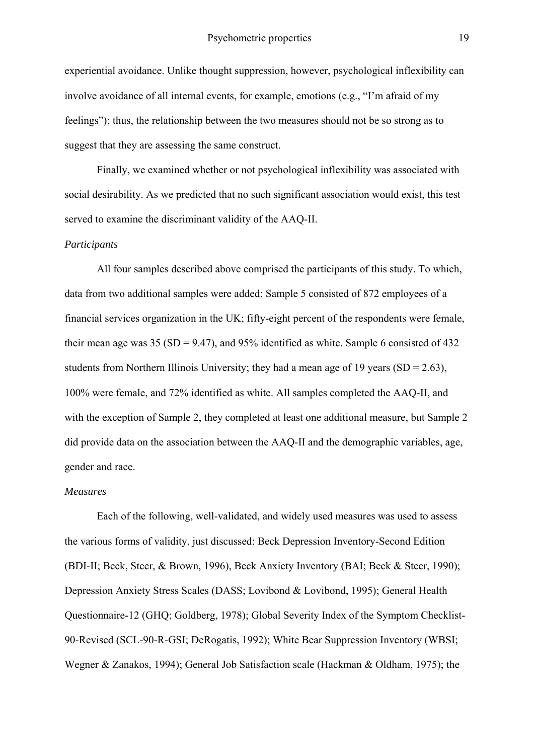experiential avoidance. Unlike thought suppression, however, psychological inflexibility can involve avoidance of all internal events, for example, emotions (e.g., "I'm afraid of my feelings"); thus, the relationship between the two measures should not be so strong as to suggest that they are assessing the same construct.

Finally, we examined whether or not psychological inflexibility was associated with social desirability. As we predicted that no such significant association would exist, this test served to examine the discriminant validity of the AAQ-II.

#### *Participants*

 All four samples described above comprised the participants of this study. To which, data from two additional samples were added: Sample 5 consisted of 872 employees of a financial services organization in the UK; fifty-eight percent of the respondents were female, their mean age was 35 (SD = 9.47), and 95% identified as white. Sample 6 consisted of 432 students from Northern Illinois University; they had a mean age of 19 years  $(SD = 2.63)$ , 100% were female, and 72% identified as white. All samples completed the AAQ-II, and with the exception of Sample 2, they completed at least one additional measure, but Sample 2 did provide data on the association between the AAQ-II and the demographic variables, age, gender and race.

#### *Measures*

Each of the following, well-validated, and widely used measures was used to assess the various forms of validity, just discussed: Beck Depression Inventory-Second Edition (BDI-II; Beck, Steer, & Brown, 1996), Beck Anxiety Inventory (BAI; Beck & Steer, 1990); Depression Anxiety Stress Scales (DASS; Lovibond & Lovibond, 1995); General Health Questionnaire-12 (GHQ; Goldberg, 1978); Global Severity Index of the Symptom Checklist-90-Revised (SCL-90-R-GSI; DeRogatis, 1992); White Bear Suppression Inventory (WBSI; Wegner & Zanakos, 1994); General Job Satisfaction scale (Hackman & Oldham, 1975); the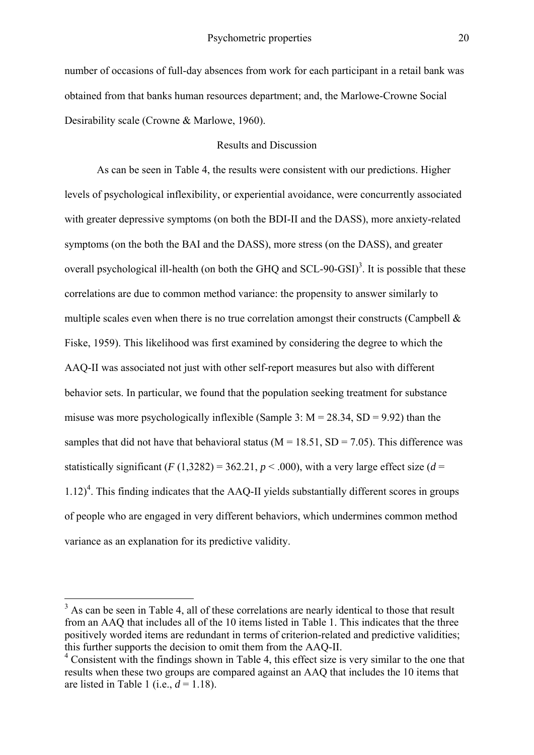number of occasions of full-day absences from work for each participant in a retail bank was obtained from that banks human resources department; and, the Marlowe-Crowne Social Desirability scale (Crowne & Marlowe, 1960).

# Results and Discussion

 As can be seen in Table 4, the results were consistent with our predictions. Higher levels of psychological inflexibility, or experiential avoidance, were concurrently associated with greater depressive symptoms (on both the BDI-II and the DASS), more anxiety-related symptoms (on the both the BAI and the DASS), more stress (on the DASS), and greater overall psychological ill-health (on both the GHQ and  $SCL-90-GSI$ )<sup>3</sup>. It is possible that these correlations are due to common method variance: the propensity to answer similarly to multiple scales even when there is no true correlation amongst their constructs (Campbell  $\&$ Fiske, 1959). This likelihood was first examined by considering the degree to which the AAQ-II was associated not just with other self-report measures but also with different behavior sets. In particular, we found that the population seeking treatment for substance misuse was more psychologically inflexible (Sample 3:  $M = 28.34$ , SD = 9.92) than the samples that did not have that behavioral status ( $M = 18.51$ ,  $SD = 7.05$ ). This difference was statistically significant ( $F(1,3282) = 362.21$ ,  $p < .000$ ), with a very large effect size ( $d =$  $1.12$ <sup>4</sup>. This finding indicates that the AAQ-II yields substantially different scores in groups of people who are engaged in very different behaviors, which undermines common method variance as an explanation for its predictive validity.

<sup>&</sup>lt;sup>3</sup> As can be seen in Table 4, all of these correlations are nearly identical to those that result from an AAQ that includes all of the 10 items listed in Table 1. This indicates that the three positively worded items are redundant in terms of criterion-related and predictive validities; this further supports the decision to omit them from the AAQ-II.

<sup>&</sup>lt;sup>4</sup> Consistent with the findings shown in Table 4, this effect size is very similar to the one that results when these two groups are compared against an AAQ that includes the 10 items that are listed in Table 1 (i.e.,  $d = 1.18$ ).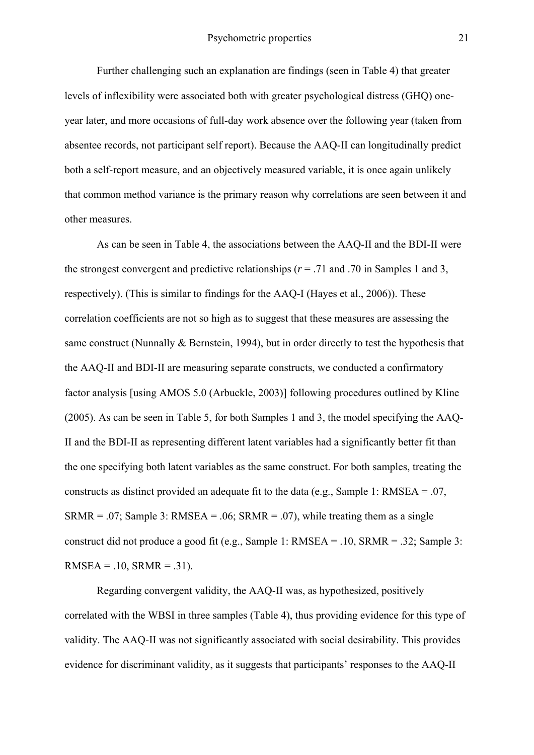Further challenging such an explanation are findings (seen in Table 4) that greater levels of inflexibility were associated both with greater psychological distress (GHQ) oneyear later, and more occasions of full-day work absence over the following year (taken from absentee records, not participant self report). Because the AAQ-II can longitudinally predict both a self-report measure, and an objectively measured variable, it is once again unlikely that common method variance is the primary reason why correlations are seen between it and other measures.

 As can be seen in Table 4, the associations between the AAQ-II and the BDI-II were the strongest convergent and predictive relationships ( $r = .71$  and .70 in Samples 1 and 3, respectively). (This is similar to findings for the AAQ-I (Hayes et al., 2006)). These correlation coefficients are not so high as to suggest that these measures are assessing the same construct (Nunnally & Bernstein, 1994), but in order directly to test the hypothesis that the AAQ-II and BDI-II are measuring separate constructs, we conducted a confirmatory factor analysis [using AMOS 5.0 (Arbuckle, 2003)] following procedures outlined by Kline (2005). As can be seen in Table 5, for both Samples 1 and 3, the model specifying the AAQ-II and the BDI-II as representing different latent variables had a significantly better fit than the one specifying both latent variables as the same construct. For both samples, treating the constructs as distinct provided an adequate fit to the data (e.g., Sample 1: RMSEA = .07,  $SRMR = .07$ ; Sample 3: RMSEA = .06; SRMR = .07), while treating them as a single construct did not produce a good fit (e.g., Sample 1: RMSEA = .10, SRMR = .32; Sample 3:  $RMSEA = .10, SRMR = .31$ .

 Regarding convergent validity, the AAQ-II was, as hypothesized, positively correlated with the WBSI in three samples (Table 4), thus providing evidence for this type of validity. The AAQ-II was not significantly associated with social desirability. This provides evidence for discriminant validity, as it suggests that participants' responses to the AAQ-II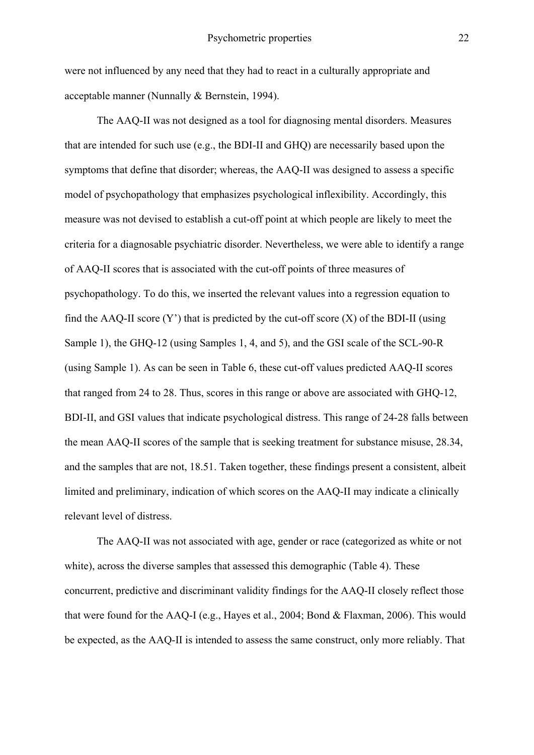were not influenced by any need that they had to react in a culturally appropriate and acceptable manner (Nunnally & Bernstein, 1994).

The AAQ-II was not designed as a tool for diagnosing mental disorders. Measures that are intended for such use (e.g., the BDI-II and GHQ) are necessarily based upon the symptoms that define that disorder; whereas, the AAQ-II was designed to assess a specific model of psychopathology that emphasizes psychological inflexibility. Accordingly, this measure was not devised to establish a cut-off point at which people are likely to meet the criteria for a diagnosable psychiatric disorder. Nevertheless, we were able to identify a range of AAQ-II scores that is associated with the cut-off points of three measures of psychopathology. To do this, we inserted the relevant values into a regression equation to find the AAQ-II score  $(Y')$  that is predicted by the cut-off score  $(X)$  of the BDI-II (using Sample 1), the GHQ-12 (using Samples 1, 4, and 5), and the GSI scale of the SCL-90-R (using Sample 1). As can be seen in Table 6, these cut-off values predicted AAQ-II scores that ranged from 24 to 28. Thus, scores in this range or above are associated with GHQ-12, BDI-II, and GSI values that indicate psychological distress. This range of 24-28 falls between the mean AAQ-II scores of the sample that is seeking treatment for substance misuse, 28.34, and the samples that are not, 18.51. Taken together, these findings present a consistent, albeit limited and preliminary, indication of which scores on the AAQ-II may indicate a clinically relevant level of distress.

The AAQ-II was not associated with age, gender or race (categorized as white or not white), across the diverse samples that assessed this demographic (Table 4). These concurrent, predictive and discriminant validity findings for the AAQ-II closely reflect those that were found for the AAQ-I (e.g., Hayes et al., 2004; Bond & Flaxman, 2006). This would be expected, as the AAQ-II is intended to assess the same construct, only more reliably. That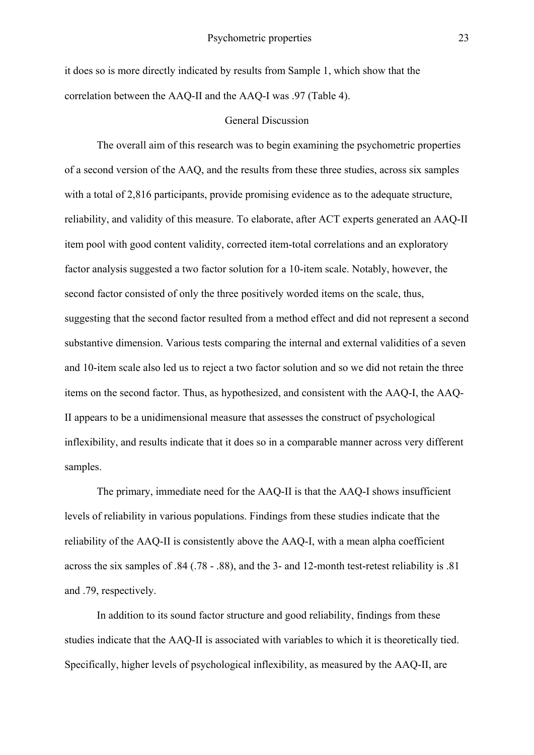it does so is more directly indicated by results from Sample 1, which show that the correlation between the AAQ-II and the AAQ-I was .97 (Table 4).

#### General Discussion

 The overall aim of this research was to begin examining the psychometric properties of a second version of the AAQ, and the results from these three studies, across six samples with a total of 2,816 participants, provide promising evidence as to the adequate structure, reliability, and validity of this measure. To elaborate, after ACT experts generated an AAQ-II item pool with good content validity, corrected item-total correlations and an exploratory factor analysis suggested a two factor solution for a 10-item scale. Notably, however, the second factor consisted of only the three positively worded items on the scale, thus, suggesting that the second factor resulted from a method effect and did not represent a second substantive dimension. Various tests comparing the internal and external validities of a seven and 10-item scale also led us to reject a two factor solution and so we did not retain the three items on the second factor. Thus, as hypothesized, and consistent with the AAQ-I, the AAQ-II appears to be a unidimensional measure that assesses the construct of psychological inflexibility, and results indicate that it does so in a comparable manner across very different samples.

 The primary, immediate need for the AAQ-II is that the AAQ-I shows insufficient levels of reliability in various populations. Findings from these studies indicate that the reliability of the AAQ-II is consistently above the AAQ-I, with a mean alpha coefficient across the six samples of .84 (.78 - .88), and the 3- and 12-month test-retest reliability is .81 and .79, respectively.

 In addition to its sound factor structure and good reliability, findings from these studies indicate that the AAQ-II is associated with variables to which it is theoretically tied. Specifically, higher levels of psychological inflexibility, as measured by the AAQ-II, are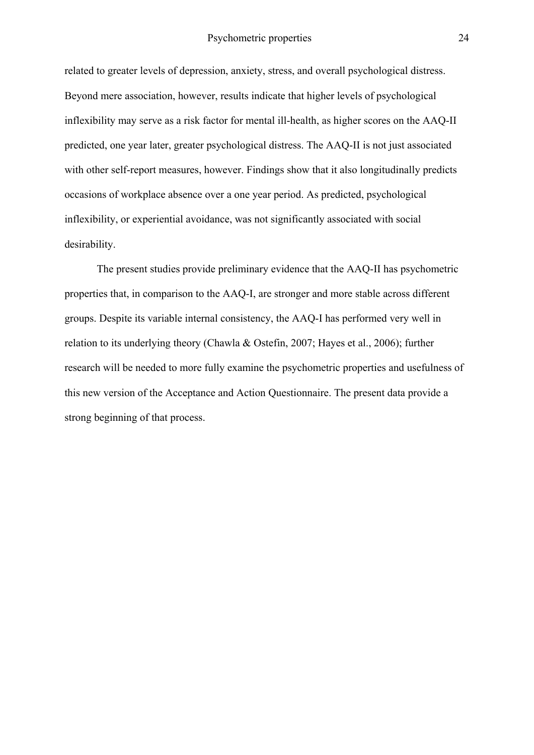related to greater levels of depression, anxiety, stress, and overall psychological distress. Beyond mere association, however, results indicate that higher levels of psychological inflexibility may serve as a risk factor for mental ill-health, as higher scores on the AAQ-II predicted, one year later, greater psychological distress. The AAQ-II is not just associated with other self-report measures, however. Findings show that it also longitudinally predicts occasions of workplace absence over a one year period. As predicted, psychological inflexibility, or experiential avoidance, was not significantly associated with social desirability.

The present studies provide preliminary evidence that the AAQ-II has psychometric properties that, in comparison to the AAQ-I, are stronger and more stable across different groups. Despite its variable internal consistency, the AAQ-I has performed very well in relation to its underlying theory (Chawla & Ostefin, 2007; Hayes et al., 2006); further research will be needed to more fully examine the psychometric properties and usefulness of this new version of the Acceptance and Action Questionnaire. The present data provide a strong beginning of that process.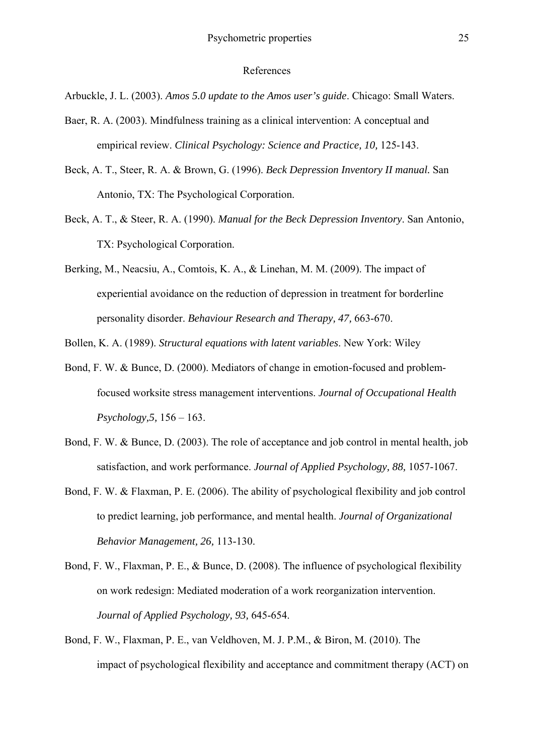#### References

Arbuckle, J. L. (2003). *Amos 5.0 update to the Amos user's guide*. Chicago: Small Waters.

- Baer, R. A. (2003). Mindfulness training as a clinical intervention: A conceptual and empirical review. *Clinical Psychology: Science and Practice, 10, 125-143.*
- Beck, A. T., Steer, R. A. & Brown, G. (1996). *Beck Depression Inventory II manual.* San Antonio, TX: The Psychological Corporation.
- Beck, A. T., & Steer, R. A. (1990). *Manual for the Beck Depression Inventory*. San Antonio, TX: Psychological Corporation.
- Berking, M., Neacsiu, A., Comtois, K. A., & Linehan, M. M. (2009). The impact of experiential avoidance on the reduction of depression in treatment for borderline personality disorder. *Behaviour Research and Therapy, 47,* 663-670.
- Bollen, K. A. (1989). *Structural equations with latent variables*. New York: Wiley
- Bond, F. W. & Bunce, D. (2000). Mediators of change in emotion-focused and problemfocused worksite stress management interventions. *Journal of Occupational Health Psychology,5,* 156 – 163.
- Bond, F. W. & Bunce, D. (2003). The role of acceptance and job control in mental health, job satisfaction, and work performance. *Journal of Applied Psychology, 88,* 1057-1067.
- Bond, F. W. & Flaxman, P. E. (2006). The ability of psychological flexibility and job control to predict learning, job performance, and mental health. *Journal of Organizational Behavior Management, 26,* 113-130.
- Bond, F. W., Flaxman, P. E., & Bunce, D. (2008). The influence of psychological flexibility on work redesign: Mediated moderation of a work reorganization intervention. *Journal of Applied Psychology, 93,* 645-654.
- Bond, F. W., Flaxman, P. E., van Veldhoven, M. J. P.M., & Biron, M. (2010). The impact of psychological flexibility and acceptance and commitment therapy (ACT) on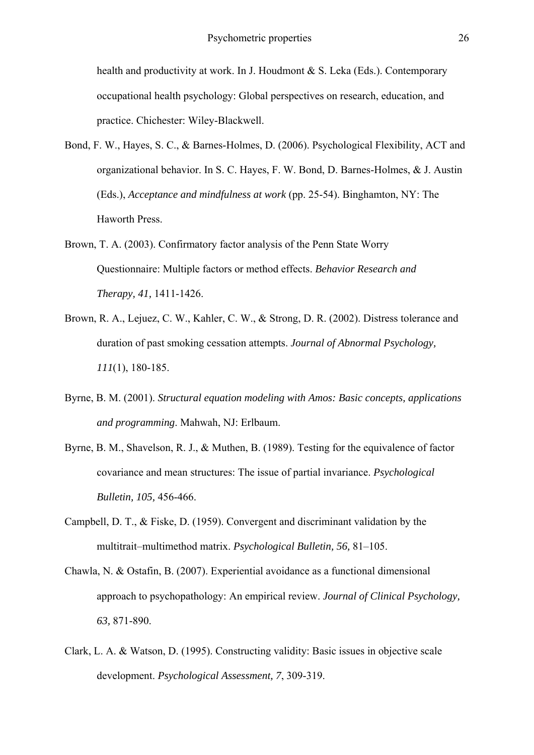health and productivity at work. In J. Houdmont & S. Leka (Eds.). Contemporary occupational health psychology: Global perspectives on research, education, and practice. Chichester: Wiley-Blackwell.

- Bond, F. W., Hayes, S. C., & Barnes-Holmes, D. (2006). Psychological Flexibility, ACT and organizational behavior. In S. C. Hayes, F. W. Bond, D. Barnes-Holmes, & J. Austin (Eds.), *Acceptance and mindfulness at work* (pp. 25-54). Binghamton, NY: The Haworth Press.
- Brown, T. A. (2003). Confirmatory factor analysis of the Penn State Worry Questionnaire: Multiple factors or method effects. *Behavior Research and Therapy, 41,* 1411-1426.
- Brown, R. A., Lejuez, C. W., Kahler, C. W., & Strong, D. R. (2002). Distress tolerance and duration of past smoking cessation attempts. *Journal of Abnormal Psychology, 111*(1), 180-185.
- Byrne, B. M. (2001). *Structural equation modeling with Amos: Basic concepts, applications and programming*. Mahwah, NJ: Erlbaum.
- Byrne, B. M., Shavelson, R. J., & Muthen, B. (1989). Testing for the equivalence of factor covariance and mean structures: The issue of partial invariance. *Psychological Bulletin, 105,* 456-466.
- Campbell, D. T., & Fiske, D. (1959). Convergent and discriminant validation by the multitrait–multimethod matrix. *Psychological Bulletin, 56,* 81–105.
- Chawla, N. & Ostafin, B. (2007). Experiential avoidance as a functional dimensional approach to psychopathology: An empirical review. *Journal of Clinical Psychology, 63,* 871-890.
- Clark, L. A. & Watson, D. (1995). Constructing validity: Basic issues in objective scale development. *Psychological Assessment, 7*, 309-319.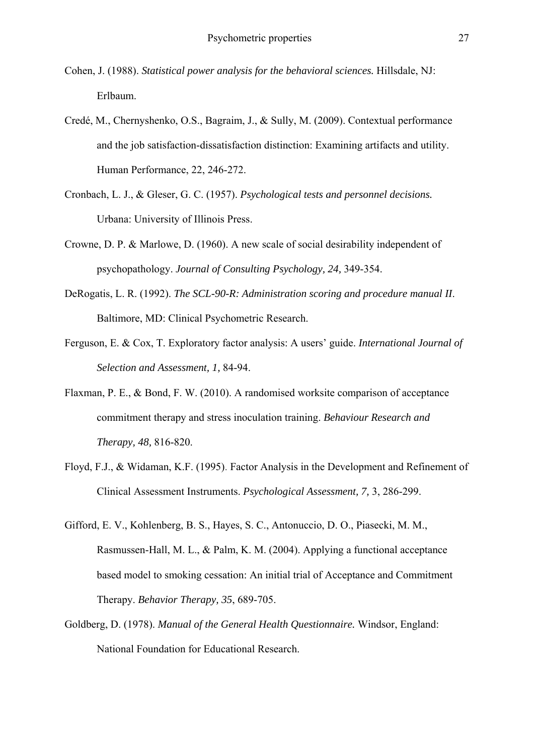- Cohen, J. (1988). *Statistical power analysis for the behavioral sciences.* Hillsdale, NJ: Erlbaum.
- Credé, M., Chernyshenko, O.S., Bagraim, J., & Sully, M. (2009). Contextual performance and the job satisfaction-dissatisfaction distinction: Examining artifacts and utility. Human Performance, 22, 246-272.
- Cronbach, L. J., & Gleser, G. C. (1957). *Psychological tests and personnel decisions.*  Urbana: University of Illinois Press.
- Crowne, D. P. & Marlowe, D. (1960). A new scale of social desirability independent of psychopathology. *Journal of Consulting Psychology, 24,* 349-354.
- DeRogatis, L. R. (1992). *The SCL-90-R: Administration scoring and procedure manual II*. Baltimore, MD: Clinical Psychometric Research.
- Ferguson, E. & Cox, T. Exploratory factor analysis: A users' guide. *International Journal of Selection and Assessment, 1,* 84-94.
- Flaxman, P. E., & Bond, F. W. (2010). A randomised worksite comparison of acceptance commitment therapy and stress inoculation training. *Behaviour Research and Therapy, 48,* 816-820.
- Floyd, F.J., & Widaman, K.F. (1995). Factor Analysis in the Development and Refinement of Clinical Assessment Instruments. *Psychological Assessment, 7,* 3, 286-299.
- Gifford, E. V., Kohlenberg, B. S., Hayes, S. C., Antonuccio, D. O., Piasecki, M. M., Rasmussen-Hall, M. L., & Palm, K. M. (2004). Applying a functional acceptance based model to smoking cessation: An initial trial of Acceptance and Commitment Therapy. *Behavior Therapy, 35*, 689-705.
- Goldberg, D. (1978). *Manual of the General Health Questionnaire.* Windsor, England: National Foundation for Educational Research.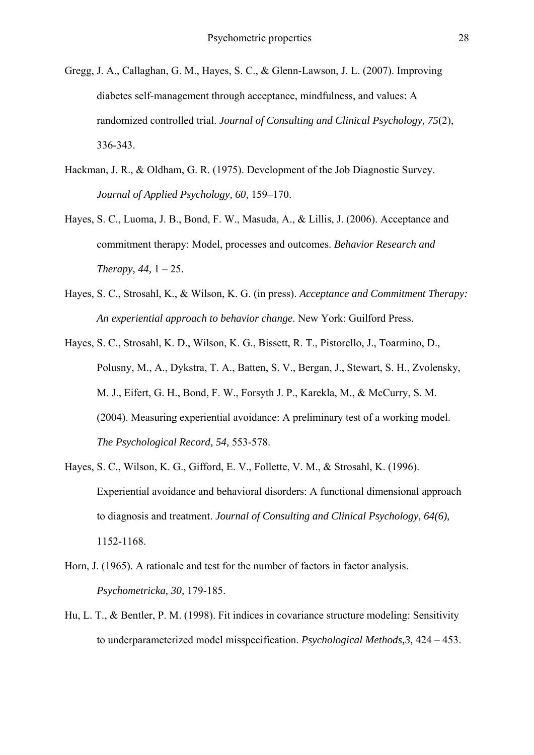- Gregg, J. A., Callaghan, G. M., Hayes, S. C., & Glenn-Lawson, J. L. (2007). Improving diabetes self-management through acceptance, mindfulness, and values: A randomized controlled trial. *Journal of Consulting and Clinical Psychology, 75*(2), 336-343.
- Hackman, J. R., & Oldham, G. R. (1975). Development of the Job Diagnostic Survey. *Journal of Applied Psychology, 60,* 159–170.
- Hayes, S. C., Luoma, J. B., Bond, F. W., Masuda, A., & Lillis, J. (2006). Acceptance and commitment therapy: Model, processes and outcomes. *Behavior Research and Therapy, 44,* 1 – 25.
- Hayes, S. C., Strosahl, K., & Wilson, K. G. (in press). *Acceptance and Commitment Therapy: An experiential approach to behavior change*. New York: Guilford Press.
- Hayes, S. C., Strosahl, K. D., Wilson, K. G., Bissett, R. T., Pistorello, J., Toarmino, D., Polusny, M., A., Dykstra, T. A., Batten, S. V., Bergan, J., Stewart, S. H., Zvolensky, M. J., Eifert, G. H., Bond, F. W., Forsyth J. P., Karekla, M., & McCurry, S. M. (2004). Measuring experiential avoidance: A preliminary test of a working model. *The Psychological Record, 54,* 553-578.
- Hayes, S. C., Wilson, K. G., Gifford, E. V., Follette, V. M., & Strosahl, K. (1996). Experiential avoidance and behavioral disorders: A functional dimensional approach to diagnosis and treatment. *Journal of Consulting and Clinical Psychology, 64(6),* 1152-1168.
- Horn, J. (1965). A rationale and test for the number of factors in factor analysis. *Psychometricka, 30,* 179-185.
- Hu, L. T., & Bentler, P. M. (1998). Fit indices in covariance structure modeling: Sensitivity to underparameterized model misspecification. *Psychological Methods,3,* 424 – 453.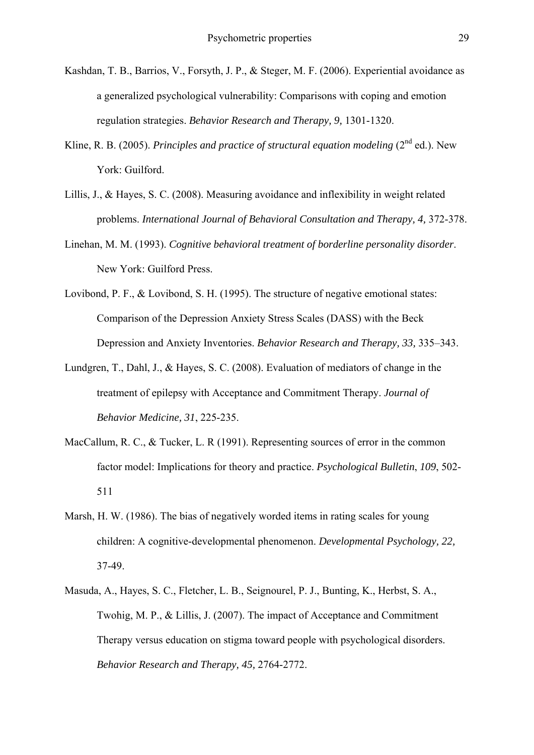- Kashdan, T. B., Barrios, V., Forsyth, J. P., & Steger, M. F. (2006). Experiential avoidance as a generalized psychological vulnerability: Comparisons with coping and emotion regulation strategies. *Behavior Research and Therapy, 9,* 1301-1320.
- Kline, R. B. (2005). *Principles and practice of structural equation modeling* (2<sup>nd</sup> ed.). New York: Guilford.
- Lillis, J., & Hayes, S. C. (2008). Measuring avoidance and inflexibility in weight related problems. *International Journal of Behavioral Consultation and Therapy, 4,* 372-378.
- Linehan, M. M. (1993). *Cognitive behavioral treatment of borderline personality disorder*. New York: Guilford Press.
- Lovibond, P. F., & Lovibond, S. H. (1995). The structure of negative emotional states: Comparison of the Depression Anxiety Stress Scales (DASS) with the Beck Depression and Anxiety Inventories. *Behavior Research and Therapy, 33,* 335–343.
- Lundgren, T., Dahl, J., & Hayes, S. C. (2008). Evaluation of mediators of change in the treatment of epilepsy with Acceptance and Commitment Therapy. *Journal of Behavior Medicine, 31*, 225-235.
- MacCallum, R. C., & Tucker, L. R (1991). Representing sources of error in the common factor model: Implications for theory and practice. *Psychological Bulletin*, *109*, 502- 511
- Marsh, H. W. (1986). The bias of negatively worded items in rating scales for young children: A cognitive-developmental phenomenon. *Developmental Psychology, 22,* 37-49.
- Masuda, A., Hayes, S. C., Fletcher, L. B., Seignourel, P. J., Bunting, K., Herbst, S. A., Twohig, M. P., & Lillis, J. (2007). The impact of Acceptance and Commitment Therapy versus education on stigma toward people with psychological disorders. *Behavior Research and Therapy, 45,* 2764-2772.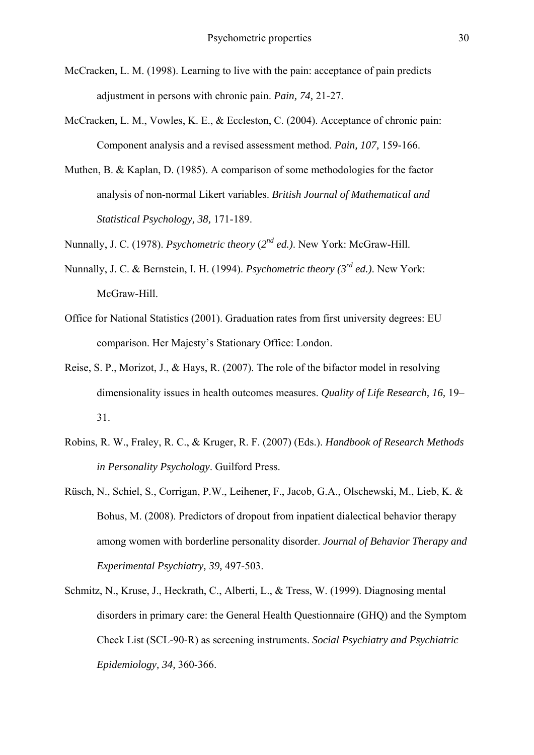- McCracken, L. M. (1998). Learning to live with the pain: acceptance of pain predicts adjustment in persons with chronic pain. *Pain, 74,* 21-27.
- McCracken, L. M., Vowles, K. E., & Eccleston, C. (2004). Acceptance of chronic pain: Component analysis and a revised assessment method. *Pain, 107,* 159-166.
- Muthen, B. & Kaplan, D. (1985). A comparison of some methodologies for the factor analysis of non-normal Likert variables. *British Journal of Mathematical and Statistical Psychology, 38,* 171-189.
- Nunnally, J. C. (1978). *Psychometric theory* (*2nd ed.)*. New York: McGraw-Hill.
- Nunnally, J. C. & Bernstein, I. H. (1994). *Psychometric theory (3rd ed.)*. New York: McGraw-Hill.
- Office for National Statistics (2001). Graduation rates from first university degrees: EU comparison. Her Majesty's Stationary Office: London.
- Reise, S. P., Morizot, J., & Hays, R. (2007). The role of the bifactor model in resolving dimensionality issues in health outcomes measures. *Quality of Life Research, 16,* 19– 31.
- Robins, R. W., Fraley, R. C., & Kruger, R. F. (2007) (Eds.). *Handbook of Research Methods in Personality Psychology*. Guilford Press.
- Rüsch, N., Schiel, S., Corrigan, P.W., Leihener, F., Jacob, G.A., Olschewski, M., Lieb, K. & Bohus, M. (2008). Predictors of dropout from inpatient dialectical behavior therapy among women with borderline personality disorder. *Journal of Behavior Therapy and Experimental Psychiatry, 39,* 497-503.
- Schmitz, N., Kruse, J., Heckrath, C., Alberti, L., & Tress, W. (1999). Diagnosing mental disorders in primary care: the General Health Questionnaire (GHQ) and the Symptom Check List (SCL-90-R) as screening instruments. *Social Psychiatry and Psychiatric Epidemiology, 34,* 360-366.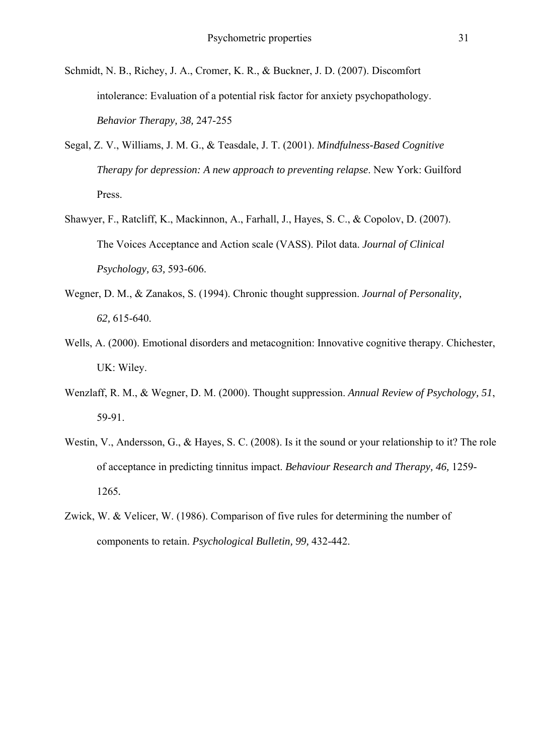- Schmidt, N. B., Richey, J. A., Cromer, K. R., & Buckner, J. D. (2007). Discomfort intolerance: Evaluation of a potential risk factor for anxiety psychopathology. *Behavior Therapy, 38,* 247-255
- Segal, Z. V., Williams, J. M. G., & Teasdale, J. T. (2001). *Mindfulness-Based Cognitive Therapy for depression: A new approach to preventing relapse*. New York: Guilford Press.
- Shawyer, F., Ratcliff, K., Mackinnon, A., Farhall, J., Hayes, S. C., & Copolov, D. (2007). The Voices Acceptance and Action scale (VASS). Pilot data. *Journal of Clinical Psychology, 63,* 593-606.
- Wegner, D. M., & Zanakos, S. (1994). Chronic thought suppression. *Journal of Personality, 62,* 615-640.
- Wells, A. (2000). Emotional disorders and metacognition: Innovative cognitive therapy. Chichester, UK: Wiley.
- Wenzlaff, R. M., & Wegner, D. M. (2000). Thought suppression. *Annual Review of Psychology, 51*, 59-91.
- Westin, V., Andersson, G., & Hayes, S. C. (2008). Is it the sound or your relationship to it? The role of acceptance in predicting tinnitus impact. *Behaviour Research and Therapy, 46,* 1259- 1265*.*
- Zwick, W. & Velicer, W. (1986). Comparison of five rules for determining the number of components to retain. *Psychological Bulletin, 99,* 432-442.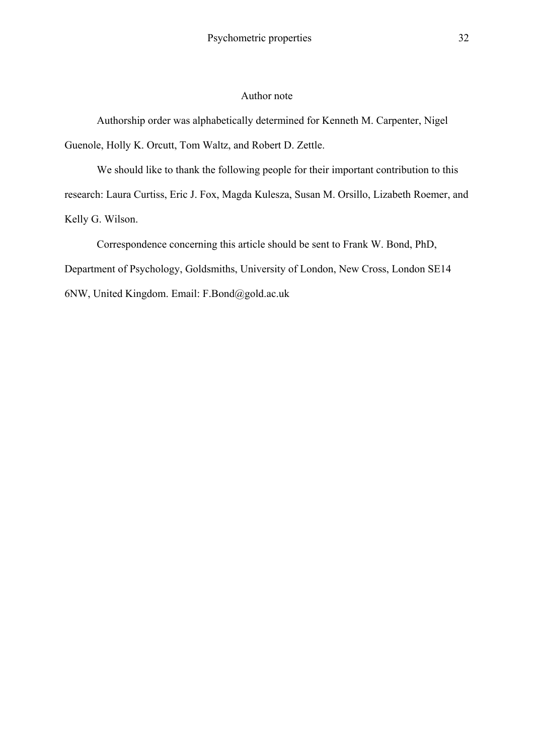## Author note

Authorship order was alphabetically determined for Kenneth M. Carpenter, Nigel Guenole, Holly K. Orcutt, Tom Waltz, and Robert D. Zettle.

We should like to thank the following people for their important contribution to this research: Laura Curtiss, Eric J. Fox, Magda Kulesza, Susan M. Orsillo, Lizabeth Roemer, and Kelly G. Wilson.

Correspondence concerning this article should be sent to Frank W. Bond, PhD, Department of Psychology, Goldsmiths, University of London, New Cross, London SE14 6NW, United Kingdom. Email: F.Bond@gold.ac.uk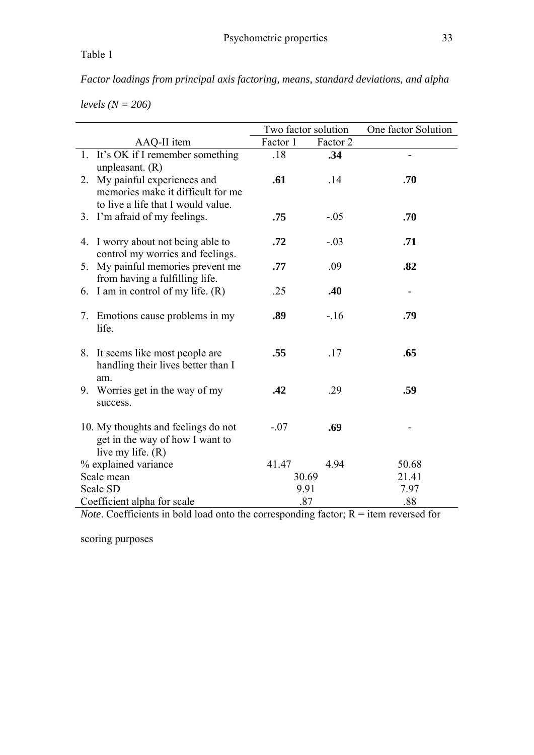*Factor loadings from principal axis factoring, means, standard deviations, and alpha* 

*levels (N = 206)* 

|                             |                                                                                                       | Two factor solution |          | One factor Solution |
|-----------------------------|-------------------------------------------------------------------------------------------------------|---------------------|----------|---------------------|
|                             | AAQ-II item                                                                                           | Factor 1            | Factor 2 |                     |
|                             | 1. It's OK if I remember something<br>unpleasant. $(R)$                                               | .18                 | .34      |                     |
| 2.                          | My painful experiences and<br>memories make it difficult for me<br>to live a life that I would value. | .61                 | .14      | .70                 |
|                             | 3. I'm afraid of my feelings.                                                                         | .75                 | $-.05$   | .70                 |
|                             | 4. I worry about not being able to<br>control my worries and feelings.                                | .72                 | $-.03$   | .71                 |
| 5.                          | My painful memories prevent me<br>from having a fulfilling life.                                      | .77                 | .09      | .82                 |
| 6.                          | I am in control of my life. (R)                                                                       | .25                 | .40      |                     |
|                             | 7. Emotions cause problems in my<br>life.                                                             | .89                 | $-16$    | .79                 |
|                             | 8. It seems like most people are<br>handling their lives better than I<br>am.                         | .55                 | .17      | .65                 |
|                             | 9. Worries get in the way of my<br>success.                                                           | .42                 | .29      | .59                 |
|                             | 10. My thoughts and feelings do not<br>get in the way of how I want to<br>live my life. $(R)$         | $-.07$              | .69      |                     |
|                             | % explained variance                                                                                  | 41.47               | 4.94     | 50.68               |
|                             | Scale mean                                                                                            |                     | 30.69    | 21.41               |
|                             | Scale SD                                                                                              | 9.91                |          | 7.97                |
| Coefficient alpha for scale |                                                                                                       |                     | .87      | .88                 |

*Note*. Coefficients in bold load onto the corresponding factor;  $R =$  item reversed for

scoring purposes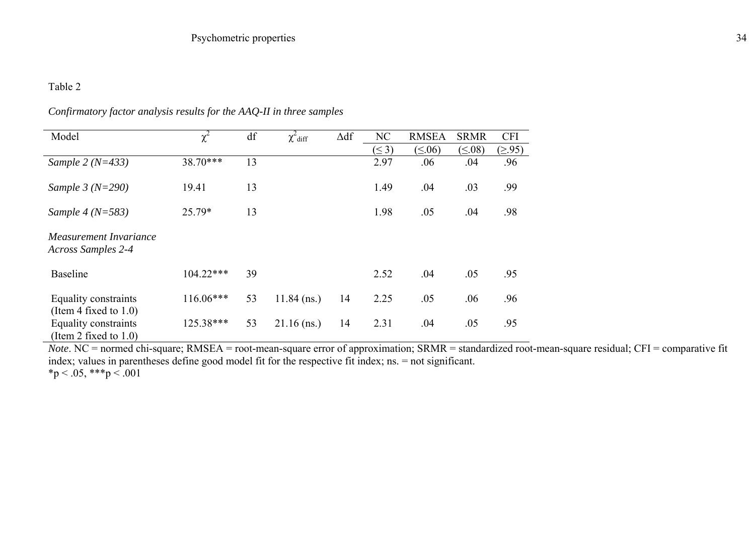| Model                                               | $\chi^2$    | df | $\chi^2$ diff | $\Delta df$ | NC         | <b>RMSEA</b>  | <b>SRMR</b>   | <b>CFI</b> |
|-----------------------------------------------------|-------------|----|---------------|-------------|------------|---------------|---------------|------------|
|                                                     |             |    |               |             | $(\leq 3)$ | $(\leq 0.06)$ | $(\leq 0.08)$ | (≥.95)     |
| Sample $2 (N=433)$                                  | 38.70***    | 13 |               |             | 2.97       | .06           | .04           | .96        |
| Sample $3 (N=290)$                                  | 19.41       | 13 |               |             | 1.49       | .04           | .03           | .99        |
| Sample 4 ( $N = 583$ )                              | 25.79*      | 13 |               |             | 1.98       | .05           | .04           | .98        |
| Measurement Invariance<br><b>Across Samples 2-4</b> |             |    |               |             |            |               |               |            |
| <b>Baseline</b>                                     | $104.22***$ | 39 |               |             | 2.52       | .04           | .05           | .95        |
| Equality constraints<br>(Item 4 fixed to $1.0$ )    | $116.06***$ | 53 | $11.84$ (ns.) | 14          | 2.25       | .05           | .06           | .96        |
| Equality constraints<br>(Item 2 fixed to $1.0$ )    | 125.38***   | 53 | $21.16$ (ns.) | 14          | 2.31       | .04           | .05           | .95        |

# *Confirmatory factor analysis results for the AAQ-II in three samples*

*Note*. NC = normed chi-square; RMSEA = root-mean-square error of approximation; SRMR = standardized root-mean-square residual; CFI = comparative fit index; values in parentheses define good model fit for the respective fit index; ns. = not significant.  $*p < .05, **p < .001$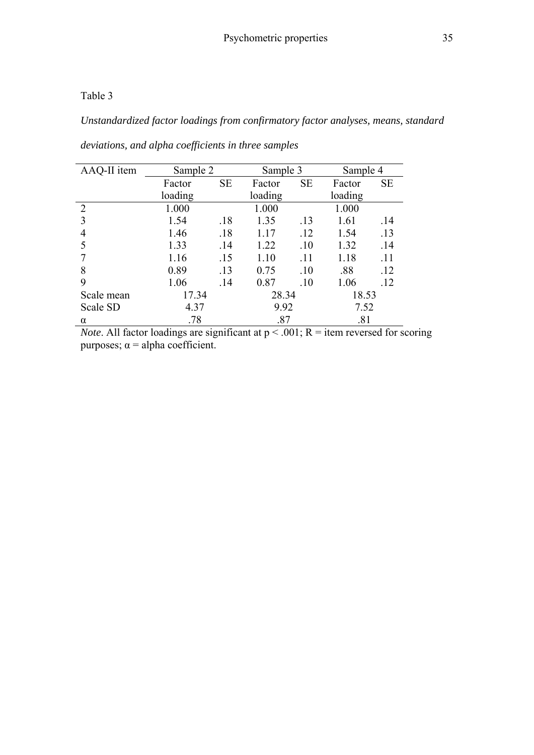*Unstandardized factor loadings from confirmatory factor analyses, means, standard* 

| AAQ-II item    | Sample 2 |           | Sample 3 |           | Sample 4 |     |
|----------------|----------|-----------|----------|-----------|----------|-----|
|                | Factor   | <b>SE</b> | Factor   | <b>SE</b> | Factor   | SE  |
|                | loading  |           | loading  |           | loading  |     |
| $\overline{2}$ | 1.000    |           | 1.000    |           | 1.000    |     |
| 3              | 1.54     | .18       | 1.35     | .13       | 1.61     | .14 |
| 4              | 1.46     | .18       | 1.17     | .12       | 1.54     | .13 |
|                | 1.33     | .14       | 1.22     | .10       | 1.32     | .14 |
|                | 1.16     | .15       | 1.10     | .11       | 1.18     | .11 |
| 8              | 0.89     | .13       | 0.75     | .10       | .88      | .12 |
| 9              | 1.06     | .14       | 0.87     | .10       | 1.06     | .12 |
| Scale mean     | 17.34    |           | 28.34    |           | 18.53    |     |
| Scale SD       | 4.37     |           | 9.92     |           | 7.52     |     |
| $\alpha$       | .78      |           | .87      |           | .81      |     |

*deviations, and alpha coefficients in three samples* 

*Note*. All factor loadings are significant at  $p < .001$ ;  $R =$  item reversed for scoring purposes;  $\alpha$  = alpha coefficient.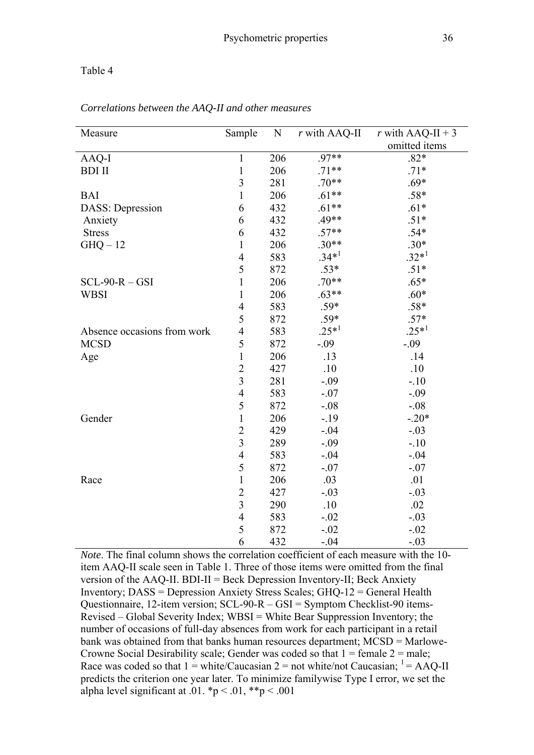| Measure                     | Sample                  | N   | $r$ with AAQ-II | r with AAQ-II + 3 |
|-----------------------------|-------------------------|-----|-----------------|-------------------|
|                             |                         |     |                 | omitted items     |
| AAQ-I                       | 1                       | 206 | $.97**$         | $.82*$            |
| <b>BDI II</b>               | $\mathbf{1}$            | 206 | $.71**$         | $.71*$            |
|                             | $\overline{\mathbf{3}}$ | 281 | $.70**$         | $.69*$            |
| <b>BAI</b>                  | $\mathbf{1}$            | 206 | $.61**$         | $.58*$            |
| <b>DASS:</b> Depression     | 6                       | 432 | $.61**$         | $.61*$            |
| Anxiety                     | 6                       | 432 | $.49**$         | $.51*$            |
| <b>Stress</b>               | 6                       | 432 | $.57**$         | $.54*$            |
| $GHQ-12$                    | 1                       | 206 | $.30**$         | $.30*$            |
|                             | $\overline{4}$          | 583 | $.34*1$         | $.32*1$           |
|                             | 5                       | 872 | $.53*$          | $.51*$            |
| $SCL-90-R - GSI$            | 1                       | 206 | $.70**$         | $.65*$            |
| <b>WBSI</b>                 | $\mathbf{1}$            | 206 | $.63**$         | $.60*$            |
|                             | $\overline{4}$          | 583 | $.59*$          | $.58*$            |
|                             | 5                       | 872 | $.59*$          | $.57*$            |
| Absence occasions from work | $\overline{4}$          | 583 | $.25*1$         | $.25*1$           |
| <b>MCSD</b>                 | 5                       | 872 | $-.09$          | $-.09$            |
| Age                         | $\mathbf{1}$            | 206 | .13             | .14               |
|                             | $\overline{2}$          | 427 | .10             | .10               |
|                             | $\overline{3}$          | 281 | $-.09$          | $-.10$            |
|                             | $\overline{4}$          | 583 | $-.07$          | $-.09$            |
|                             | 5                       | 872 | $-.08$          | $-.08$            |
| Gender                      | $\mathbf{1}$            | 206 | $-.19$          | $-.20*$           |
|                             | $\overline{2}$          | 429 | $-.04$          | $-.03$            |
|                             | $\overline{3}$          | 289 | $-.09$          | $-.10$            |
|                             | $\overline{4}$          | 583 | $-.04$          | $-.04$            |
|                             | 5                       | 872 | $-.07$          | $-.07$            |
| Race                        | $\mathbf{1}$            | 206 | .03             | .01               |
|                             | $\overline{2}$          | 427 | $-.03$          | $-.03$            |
|                             | $\overline{\mathbf{3}}$ | 290 | .10             | .02               |
|                             | 4                       | 583 | $-.02$          | $-.03$            |
|                             | 5                       | 872 | $-.02$          | $-.02$            |
|                             | 6                       | 432 | $-.04$          | $-.03$            |

*Correlations between the AAQ-II and other measures* 

*Note*. The final column shows the correlation coefficient of each measure with the 10item AAQ-II scale seen in Table 1. Three of those items were omitted from the final version of the AAQ-II. BDI-II = Beck Depression Inventory-II; Beck Anxiety Inventory; DASS = Depression Anxiety Stress Scales; GHQ-12 = General Health Questionnaire, 12-item version; SCL-90-R – GSI = Symptom Checklist-90 items-Revised – Global Severity Index; WBSI = White Bear Suppression Inventory; the number of occasions of full-day absences from work for each participant in a retail bank was obtained from that banks human resources department; MCSD = Marlowe-Crowne Social Desirability scale; Gender was coded so that  $1 = \text{female } 2 = \text{male}$ ; Race was coded so that  $1 = \text{white}/\text{Caucasian } 2 = \text{not white/not Caucasian; }^1 = \text{AAQ-II}$ predicts the criterion one year later. To minimize familywise Type I error, we set the alpha level significant at .01.  $\mathbf{p} < .01$ ,  $\mathbf{p} < .001$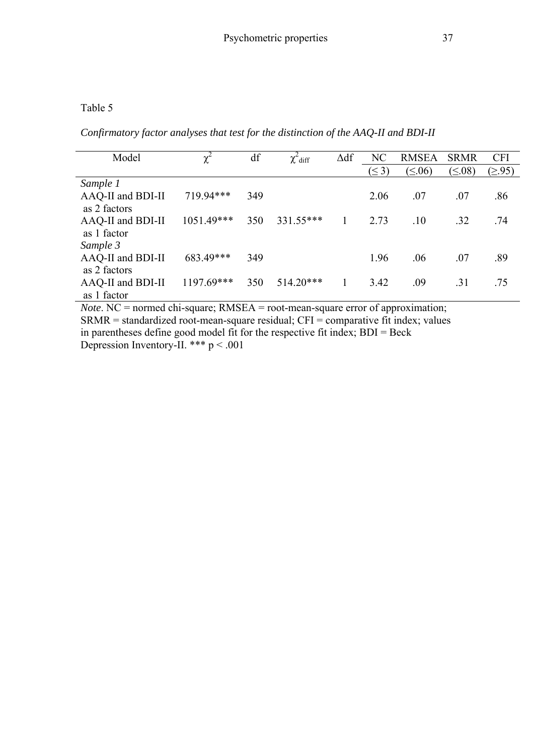*Confirmatory factor analyses that test for the distinction of the AAQ-II and BDI-II* 

| Model             | $\chi^2$     | df  | $\chi^2$ diff | $\Delta df$ | NC         | <b>RMSEA</b>  | <b>SRMR</b>   | <b>CFI</b> |
|-------------------|--------------|-----|---------------|-------------|------------|---------------|---------------|------------|
|                   |              |     |               |             | $(\leq 3)$ | $(\leq 0.06)$ | $(\leq 0.08)$ | (≥.95)     |
| Sample 1          |              |     |               |             |            |               |               |            |
| AAQ-II and BDI-II | 719.94***    | 349 |               |             | 2.06       | .07           | .07           | .86        |
| as 2 factors      |              |     |               |             |            |               |               |            |
| AAQ-II and BDI-II | $1051.49***$ | 350 | 331.55***     |             | 2.73       | .10           | .32           | .74        |
| as 1 factor       |              |     |               |             |            |               |               |            |
| Sample 3          |              |     |               |             |            |               |               |            |
| AAQ-II and BDI-II | 683.49***    | 349 |               |             | 1.96       | .06           | .07           | .89        |
| as 2 factors      |              |     |               |             |            |               |               |            |
| AAQ-II and BDI-II | 1197.69***   | 350 | $514.20***$   |             | 3.42       | .09           | .31           | .75        |
| as 1 factor       |              |     |               |             |            |               |               |            |

*Note*. NC = normed chi-square; RMSEA = root-mean-square error of approximation;  $SRMR = standardized$  root-mean-square residual;  $CFI = \overline{comparative}$  fit index; values in parentheses define good model fit for the respective fit index; BDI = Beck Depression Inventory-II. \*\*\*  $p < .001$